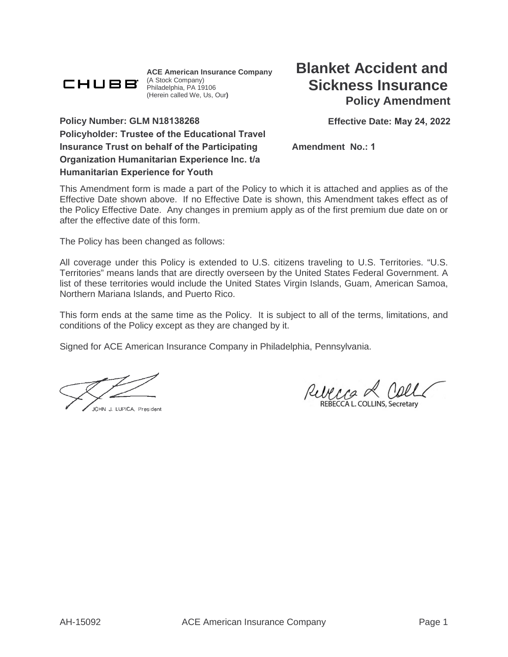

**ACE American Insurance Company**  (A Stock Company) Philadelphia, PA 19106 (Herein called We, Us, Our**)**

**Effective Date: May 24, 2022**

**Policy Number: GLM N18138268 Policyholder: Trustee of the Educational Travel Insurance Trust on behalf of the Participating Organization Humanitarian Experience Inc. t/a Humanitarian Experience for Youth**

**Amendment No.: 1**

This Amendment form is made a part of the Policy to which it is attached and applies as of the Effective Date shown above. If no Effective Date is shown, this Amendment takes effect as of the Policy Effective Date. Any changes in premium apply as of the first premium due date on or after the effective date of this form.

The Policy has been changed as follows:

All coverage under this Policy is extended to U.S. citizens traveling to U.S. Territories. "U.S. Territories" means lands that are directly overseen by the United States Federal Government. A list of these territories would include the United States Virgin Islands, Guam, American Samoa, Northern Mariana Islands, and Puerto Rico.

This form ends at the same time as the Policy. It is subject to all of the terms, limitations, and conditions of the Policy except as they are changed by it.

Signed for ACE American Insurance Company in Philadelphia, Pennsylvania.

JOHN J. LUPICA, President

RUCCO REBECCAL COLLINS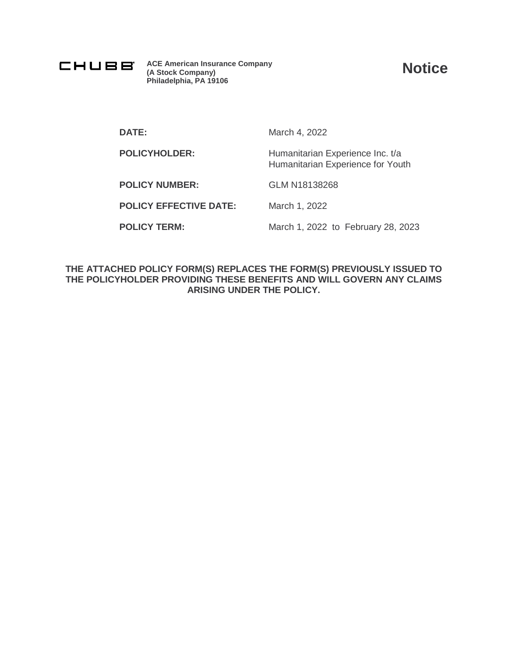

**ACE American Insurance Company (A Stock Company) Philadelphia, PA 19106**

**Notice**

**DATE:** March 4, 2022

POLICYHOLDER: Humanitarian Experience Inc. t/a Humanitarian Experience for Youth

**POLICY NUMBER:** GLM N18138268

**POLICY EFFECTIVE DATE:** March 1, 2022

**POLICY TERM:** March 1, 2022 to February 28, 2023

**THE ATTACHED POLICY FORM(S) REPLACES THE FORM(S) PREVIOUSLY ISSUED TO THE POLICYHOLDER PROVIDING THESE BENEFITS AND WILL GOVERN ANY CLAIMS ARISING UNDER THE POLICY.**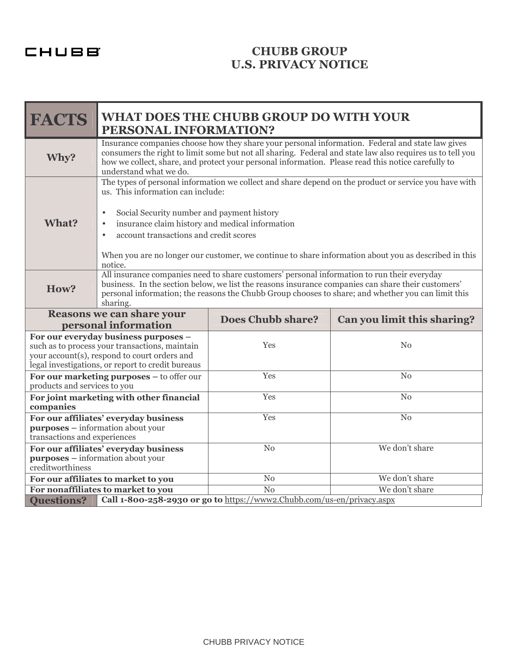CHUBB

# **CHUBB GROUP U.S. PRIVACY NOTICE**

| <b>FACTS</b>                                                                                                                                                                                | <b>WHAT DOES THE CHUBB GROUP DO WITH YOUR</b><br>PERSONAL INFORMATION?                                                                                                                                                                                                                                                                                                                                                                          |                                                                        |                             |
|---------------------------------------------------------------------------------------------------------------------------------------------------------------------------------------------|-------------------------------------------------------------------------------------------------------------------------------------------------------------------------------------------------------------------------------------------------------------------------------------------------------------------------------------------------------------------------------------------------------------------------------------------------|------------------------------------------------------------------------|-----------------------------|
| Why?                                                                                                                                                                                        | Insurance companies choose how they share your personal information. Federal and state law gives<br>consumers the right to limit some but not all sharing. Federal and state law also requires us to tell you<br>how we collect, share, and protect your personal information. Please read this notice carefully to<br>understand what we do.                                                                                                   |                                                                        |                             |
| What?                                                                                                                                                                                       | The types of personal information we collect and share depend on the product or service you have with<br>us. This information can include:<br>Social Security number and payment history<br>$\bullet$<br>insurance claim history and medical information<br>$\bullet$<br>account transactions and credit scores<br>$\bullet$<br>When you are no longer our customer, we continue to share information about you as described in this<br>notice. |                                                                        |                             |
| How?                                                                                                                                                                                        | All insurance companies need to share customers' personal information to run their everyday<br>business. In the section below, we list the reasons insurance companies can share their customers'<br>personal information; the reasons the Chubb Group chooses to share; and whether you can limit this<br>sharing.                                                                                                                             |                                                                        |                             |
| <b>Reasons we can share your</b><br>personal information                                                                                                                                    |                                                                                                                                                                                                                                                                                                                                                                                                                                                 | <b>Does Chubb share?</b>                                               | Can you limit this sharing? |
| For our everyday business purposes -<br>such as to process your transactions, maintain<br>your account(s), respond to court orders and<br>legal investigations, or report to credit bureaus |                                                                                                                                                                                                                                                                                                                                                                                                                                                 | <b>Yes</b>                                                             | $\rm No$                    |
| For our marketing purposes - to offer our<br>products and services to you                                                                                                                   |                                                                                                                                                                                                                                                                                                                                                                                                                                                 | Yes                                                                    | No                          |
| For joint marketing with other financial<br>companies                                                                                                                                       |                                                                                                                                                                                                                                                                                                                                                                                                                                                 | Yes                                                                    | N <sub>0</sub>              |
| For our affiliates' everyday business<br><b>purposes</b> – information about your<br>transactions and experiences                                                                           |                                                                                                                                                                                                                                                                                                                                                                                                                                                 | Yes                                                                    | $\overline{\text{No}}$      |
| For our affiliates' everyday business<br><b>purposes</b> – information about your<br>creditworthiness                                                                                       |                                                                                                                                                                                                                                                                                                                                                                                                                                                 | N <sub>o</sub>                                                         | We don't share              |
| For our affiliates to market to you                                                                                                                                                         |                                                                                                                                                                                                                                                                                                                                                                                                                                                 | N <sub>0</sub>                                                         | We don't share              |
| For nonaffiliates to market to you<br>$\overline{No}$<br>We don't share                                                                                                                     |                                                                                                                                                                                                                                                                                                                                                                                                                                                 |                                                                        |                             |
| <b>Questions?</b>                                                                                                                                                                           |                                                                                                                                                                                                                                                                                                                                                                                                                                                 | Call 1-800-258-2930 or go to https://www2.Chubb.com/us-en/privacy.aspx |                             |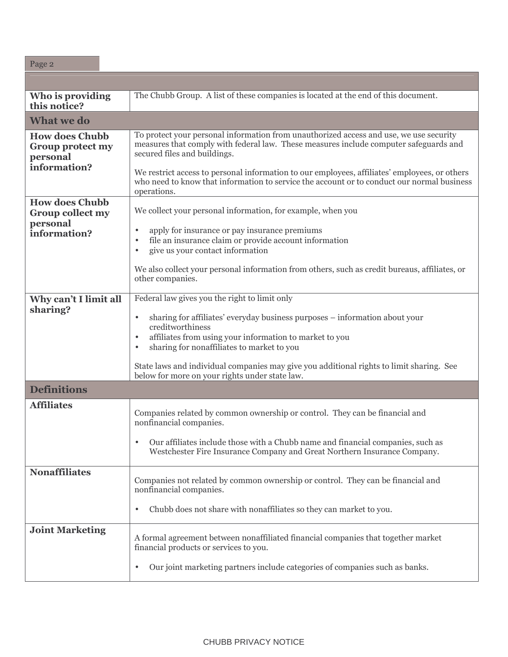| Page 2                                                                       |                                                                                                                                                                                                                                                                                                                                                                                                                                                |
|------------------------------------------------------------------------------|------------------------------------------------------------------------------------------------------------------------------------------------------------------------------------------------------------------------------------------------------------------------------------------------------------------------------------------------------------------------------------------------------------------------------------------------|
|                                                                              |                                                                                                                                                                                                                                                                                                                                                                                                                                                |
| Who is providing<br>this notice?                                             | The Chubb Group. A list of these companies is located at the end of this document.                                                                                                                                                                                                                                                                                                                                                             |
| <b>What we do</b>                                                            |                                                                                                                                                                                                                                                                                                                                                                                                                                                |
| <b>How does Chubb</b><br>Group protect my<br>personal<br>information?        | To protect your personal information from unauthorized access and use, we use security<br>measures that comply with federal law. These measures include computer safeguards and<br>secured files and buildings.<br>We restrict access to personal information to our employees, affiliates' employees, or others<br>who need to know that information to service the account or to conduct our normal business                                 |
| <b>How does Chubb</b><br><b>Group collect my</b><br>personal<br>information? | operations.<br>We collect your personal information, for example, when you<br>apply for insurance or pay insurance premiums<br>$\bullet$<br>file an insurance claim or provide account information<br>$\bullet$<br>give us your contact information<br>$\bullet$<br>We also collect your personal information from others, such as credit bureaus, affiliates, or<br>other companies.                                                          |
| Why can't I limit all<br>sharing?                                            | Federal law gives you the right to limit only<br>sharing for affiliates' everyday business purposes – information about your<br>$\bullet$<br>creditworthiness<br>affiliates from using your information to market to you<br>$\bullet$<br>sharing for nonaffiliates to market to you<br>$\bullet$<br>State laws and individual companies may give you additional rights to limit sharing. See<br>below for more on your rights under state law. |
| <b>Definitions</b>                                                           |                                                                                                                                                                                                                                                                                                                                                                                                                                                |
| <b>Affiliates</b>                                                            | Companies related by common ownership or control. They can be financial and<br>nonfinancial companies.<br>Our affiliates include those with a Chubb name and financial companies, such as<br>$\bullet$<br>Westchester Fire Insurance Company and Great Northern Insurance Company.                                                                                                                                                             |
| <b>Nonaffiliates</b>                                                         | Companies not related by common ownership or control. They can be financial and<br>nonfinancial companies.<br>Chubb does not share with nonaffiliates so they can market to you.<br>$\bullet$                                                                                                                                                                                                                                                  |
| <b>Joint Marketing</b>                                                       | A formal agreement between nonaffiliated financial companies that together market<br>financial products or services to you.<br>Our joint marketing partners include categories of companies such as banks.<br>$\bullet$                                                                                                                                                                                                                        |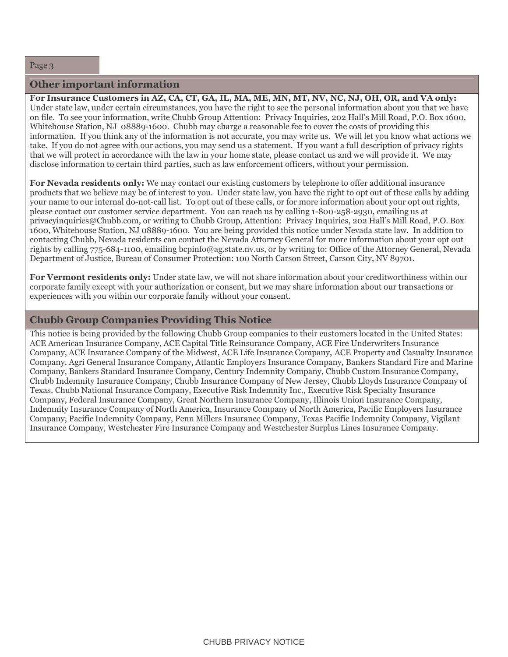#### **Other important information**

For Insurance Customers in AZ, CA, CT, GA, IL, MA, ME, MN, MT, NV, NC, NJ, OH, OR, and VA only: Under state law, under certain circumstances, you have the right to see the personal information about you that we have on file. To see your information, write Chubb Group Attention: Privacy Inquiries, 202 Hall's Mill Road, P.O. Box 1600, Whitehouse Station, NJ 08889-1600. Chubb may charge a reasonable fee to cover the costs of providing this information. If you think any of the information is not accurate, you may write us. We will let you know what actions we take. If you do not agree with our actions, you may send us a statement. If you want a full description of privacy rights that we will protect in accordance with the law in your home state, please contact us and we will provide it. We may disclose information to certain third parties, such as law enforcement officers, without your permission.

For Nevada residents only: We may contact our existing customers by telephone to offer additional insurance products that we believe may be of interest to you. Under state law, you have the right to opt out of these calls by adding your name to our internal do-not-call list. To opt out of these calls, or for more information about your opt out rights, please contact our customer service department. You can reach us by calling 1-800-258-2930, emailing us at privacyinquiries@Chubb.com, or writing to Chubb Group, Attention: Privacy Inquiries, 202 Hall's Mill Road, P.O. Box 1600, Whitehouse Station, NJ 08889-1600. You are being provided this notice under Nevada state law. In addition to contacting Chubb, Nevada residents can contact the Nevada Attorney General for more information about your opt out rights by calling 775-684-1100, emailing bepinfo@ag.state.nv.us, or by writing to: Office of the Attorney General, Nevada Department of Justice, Bureau of Consumer Protection: 100 North Carson Street, Carson City, NV 89701.

For Vermont residents only: Under state law, we will not share information about your creditworthiness within our corporate family except with your authorization or consent, but we may share information about our transactions or experiences with you within our corporate family without your consent.

# **Chubb Group Companies Providing This Notice**

This notice is being provided by the following Chubb Group companies to their customers located in the United States: ACE American Insurance Company, ACE Capital Title Reinsurance Company, ACE Fire Underwriters Insurance Company, ACE Insurance Company of the Midwest, ACE Life Insurance Company, ACE Property and Casualty Insurance Company, Agri General Insurance Company, Atlantic Employers Insurance Company, Bankers Standard Fire and Marine Company, Bankers Standard Insurance Company, Century Indemnity Company, Chubb Custom Insurance Company, Chubb Indemnity Insurance Company, Chubb Insurance Company of New Jersey, Chubb Lloyds Insurance Company of Texas, Chubb National Insurance Company, Executive Risk Indemnity Inc., Executive Risk Specialty Insurance Company, Federal Insurance Company, Great Northern Insurance Company, Illinois Union Insurance Company, Indemnity Insurance Company of North America, Insurance Company of North America, Pacific Employers Insurance Company, Pacific Indemnity Company, Penn Millers Insurance Company, Texas Pacific Indemnity Company, Vigilant Insurance Company, Westchester Fire Insurance Company and Westchester Surplus Lines Insurance Company.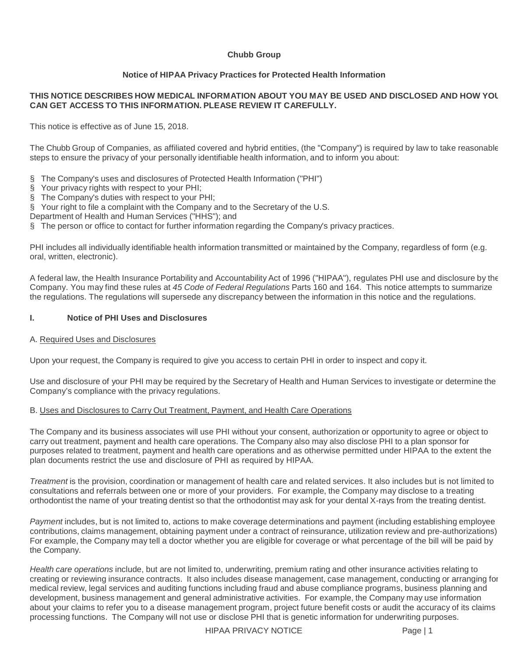#### **Chubb Group**

#### **Notice of HIPAA Privacy Practices for Protected Health Information**

#### **THIS NOTICE DESCRIBES HOW MEDICAL INFORMATION ABOUT YOU MAY BE USED AND DISCLOSED AND HOW YOU CAN GET ACCESS TO THIS INFORMATION. PLEASE REVIEW IT CAREFULLY.**

This notice is effective as of June 15, 2018.

The Chubb Group of Companies, as affiliated covered and hybrid entities, (the "Company") is required by law to take reasonable steps to ensure the privacy of your personally identifiable health information, and to inform you about:

- § The Company's uses and disclosures of Protected Health Information ("PHI")
- § Your privacy rights with respect to your PHI;
- § The Company's duties with respect to your PHI;
- § Your right to file a complaint with the Company and to the Secretary of the U.S.
- Department of Health and Human Services ("HHS"); and
- § The person or office to contact for further information regarding the Company's privacy practices.

PHI includes all individually identifiable health information transmitted or maintained by the Company, regardless of form (e.g. oral, written, electronic).

A federal law, the Health Insurance Portability and Accountability Act of 1996 ("HIPAA"), regulates PHI use and disclosure by the Company. You may find these rules at 45 Code of Federal Regulations Parts 160 and 164. This notice attempts to summarize the regulations. The regulations will supersede any discrepancy between the information in this notice and the regulations.

#### **I. Notice of PHI Uses and Disclosures**

#### A. Required Uses and Disclosures

Upon your request, the Company is required to give you access to certain PHI in order to inspect and copy it.

Use and disclosure of your PHI may be required by the Secretary of Health and Human Services to investigate or determine the Company's compliance with the privacy regulations.

#### B. Uses and Disclosures to Carry Out Treatment, Payment, and Health Care Operations

The Company and its business associates will use PHI without your consent, authorization or opportunity to agree or object to carry out treatment, payment and health care operations. The Company also may also disclose PHI to a plan sponsor for purposes related to treatment, payment and health care operations and as otherwise permitted under HIPAA to the extent the plan documents restrict the use and disclosure of PHI as required by HIPAA.

Treatment is the provision, coordination or management of health care and related services. It also includes but is not limited to consultations and referrals between one or more of your providers. For example, the Company may disclose to a treating orthodontist the name of your treating dentist so that the orthodontist may ask for your dental X-rays from the treating dentist.

Payment includes, but is not limited to, actions to make coverage determinations and payment (including establishing employee contributions, claims management, obtaining payment under a contract of reinsurance, utilization review and pre-authorizations). For example, the Company may tell a doctor whether you are eligible for coverage or what percentage of the bill will be paid by the Company.

Health care operations include, but are not limited to, underwriting, premium rating and other insurance activities relating to creating or reviewing insurance contracts. It also includes disease management, case management, conducting or arranging for medical review, legal services and auditing functions including fraud and abuse compliance programs, business planning and development, business management and general administrative activities. For example, the Company may use information about your claims to refer you to a disease management program, project future benefit costs or audit the accuracy of its claims processing functions. The Company will not use or disclose PHI that is genetic information for underwriting purposes.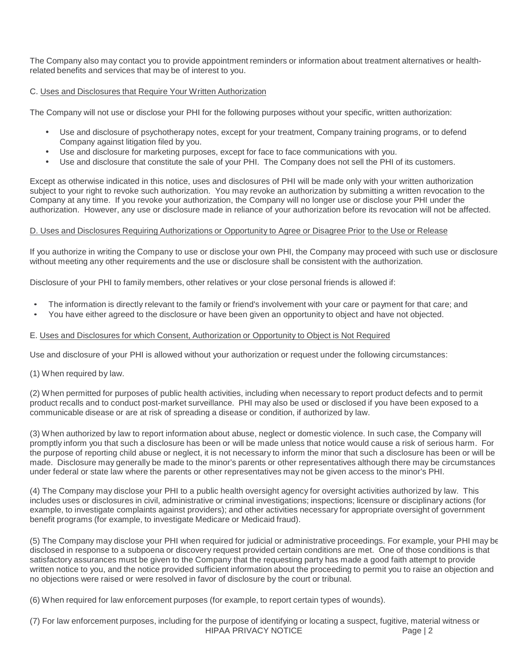The Company also may contact you to provide appointment reminders or information about treatment alternatives or healthrelated benefits and services that may be of interest to you.

#### C. Uses and Disclosures that Require Your Written Authorization

The Company will not use or disclose your PHI for the following purposes without your specific, written authorization:

- Use and disclosure of psychotherapy notes, except for your treatment, Company training programs, or to defend Company against litigation filed by you.
- Use and disclosure for marketing purposes, except for face to face communications with you.
- Use and disclosure that constitute the sale of your PHI. The Company does not sell the PHI of its customers.

Except as otherwise indicated in this notice, uses and disclosures of PHI will be made only with your written authorization subject to your right to revoke such authorization. You may revoke an authorization by submitting a written revocation to the Company at any time. If you revoke your authorization, the Company will no longer use or disclose your PHI under the authorization. However, any use or disclosure made in reliance of your authorization before its revocation will not be affected.

#### D. Uses and Disclosures Requiring Authorizations or Opportunity to Agree or Disagree Prior to the Use or Release

If you authorize in writing the Company to use or disclose your own PHI, the Company may proceed with such use or disclosure without meeting any other requirements and the use or disclosure shall be consistent with the authorization.

Disclosure of your PHI to family members, other relatives or your close personal friends is allowed if:

- The information is directly relevant to the family or friend's involvement with your care or payment for that care; and
- You have either agreed to the disclosure or have been given an opportunity to object and have not objected.

#### E. Uses and Disclosures for which Consent, Authorization or Opportunity to Object is Not Required

Use and disclosure of your PHI is allowed without your authorization or request under the following circumstances:

#### (1) When required by law.

(2) When permitted for purposes of public health activities, including when necessary to report product defects and to permit product recalls and to conduct post-market surveillance. PHI may also be used or disclosed if you have been exposed to a communicable disease or are at risk of spreading a disease or condition, if authorized by law.

(3) When authorized by law to report information about abuse, neglect or domestic violence. In such case, the Company will promptly inform you that such a disclosure has been or will be made unless that notice would cause a risk of serious harm. For the purpose of reporting child abuse or neglect, it is not necessary to inform the minor that such a disclosure has been or will be made. Disclosure may generally be made to the minor's parents or other representatives although there may be circumstances under federal or state law where the parents or other representatives may not be given access to the minor's PHI.

(4) The Company may disclose your PHI to a public health oversight agency for oversight activities authorized by law. This includes uses or disclosures in civil, administrative or criminal investigations; inspections; licensure or disciplinary actions (for example, to investigate complaints against providers); and other activities necessary for appropriate oversight of government benefit programs (for example, to investigate Medicare or Medicaid fraud).

(5) The Company may disclose your PHI when required for judicial or administrative proceedings. For example, your PHI may be disclosed in response to a subpoena or discovery request provided certain conditions are met. One of those conditions is that satisfactory assurances must be given to the Company that the requesting party has made a good faith attempt to provide written notice to you, and the notice provided sufficient information about the proceeding to permit you to raise an objection and no objections were raised or were resolved in favor of disclosure by the court or tribunal.

(6) When required for law enforcement purposes (for example, to report certain types of wounds).

HIPAA PRIVACY NOTICE Page | 2 (7) For law enforcement purposes, including for the purpose of identifying or locating a suspect, fugitive, material witness or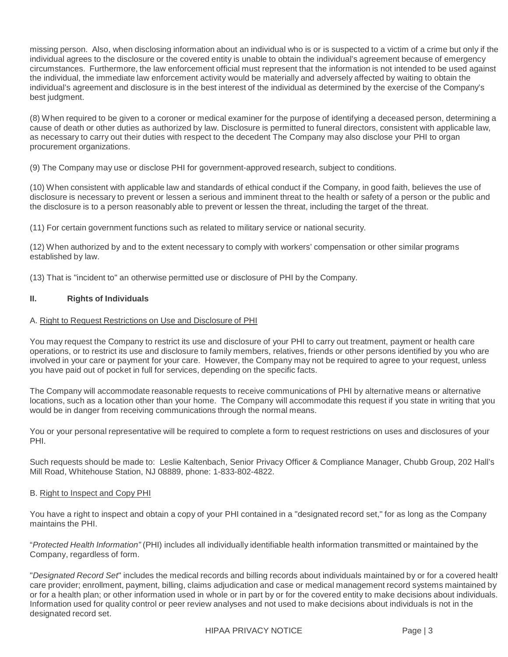missing person. Also, when disclosing information about an individual who is or is suspected to a victim of a crime but only if the individual agrees to the disclosure or the covered entity is unable to obtain the individual's agreement because of emergency circumstances. Furthermore, the law enforcement official must represent that the information is not intended to be used against the individual, the immediate law enforcement activity would be materially and adversely affected by waiting to obtain the individual's agreement and disclosure is in the best interest of the individual as determined by the exercise of the Company's best judgment.

(8) When required to be given to a coroner or medical examiner for the purpose of identifying a deceased person, determining a cause of death or other duties as authorized by law. Disclosure is permitted to funeral directors, consistent with applicable law, as necessary to carry out their duties with respect to the decedent The Company may also disclose your PHI to organ procurement organizations.

(9) The Company may use or disclose PHI for government-approved research, subject to conditions.

(10) When consistent with applicable law and standards of ethical conduct if the Company, in good faith, believes the use of disclosure is necessary to prevent or lessen a serious and imminent threat to the health or safety of a person or the public and the disclosure is to a person reasonably able to prevent or lessen the threat, including the target of the threat.

(11) For certain government functions such as related to military service or national security.

(12) When authorized by and to the extent necessary to comply with workers' compensation or other similar programs established by law.

(13) That is "incident to" an otherwise permitted use or disclosure of PHI by the Company.

#### **II. Rights of Individuals**

#### A. Right to Request Restrictions on Use and Disclosure of PHI

You may request the Company to restrict its use and disclosure of your PHI to carry out treatment, payment or health care operations, or to restrict its use and disclosure to family members, relatives, friends or other persons identified by you who are involved in your care or payment for your care. However, the Company may not be required to agree to your request, unless you have paid out of pocket in full for services, depending on the specific facts.

The Company will accommodate reasonable requests to receive communications of PHI by alternative means or alternative locations, such as a location other than your home. The Company will accommodate this request if you state in writing that you would be in danger from receiving communications through the normal means.

You or your personal representative will be required to complete a form to request restrictions on uses and disclosures of your PHI.

Such requests should be made to: Leslie Kaltenbach, Senior Privacy Officer & Compliance Manager, Chubb Group, 202 Hall's Mill Road, Whitehouse Station, NJ 08889, phone: 1-833-802-4822.

#### B. Right to Inspect and Copy PHI

You have a right to inspect and obtain a copy of your PHI contained in a "designated record set," for as long as the Company maintains the PHI.

"Protected Health Information" (PHI) includes all individually identifiable health information transmitted or maintained by the Company, regardless of form.

"Designated Record Set" includes the medical records and billing records about individuals maintained by or for a covered health care provider; enrollment, payment, billing, claims adjudication and case or medical management record systems maintained by or for a health plan; or other information used in whole or in part by or for the covered entity to make decisions about individuals. Information used for quality control or peer review analyses and not used to make decisions about individuals is not in the designated record set.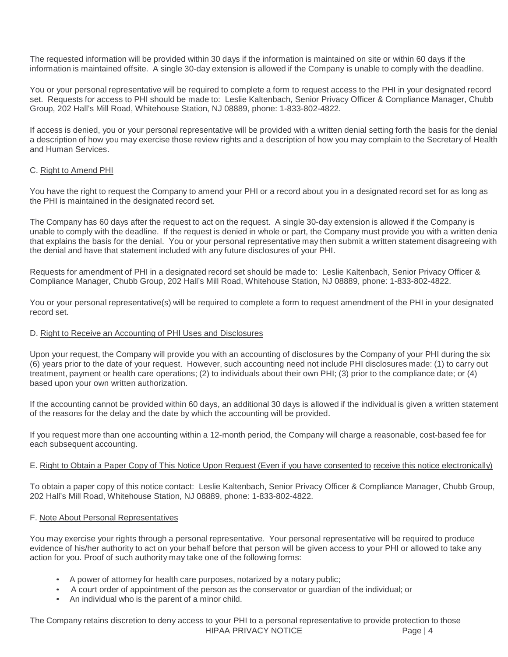The requested information will be provided within 30 days if the information is maintained on site or within 60 days if the information is maintained offsite. A single 30-day extension is allowed if the Company is unable to comply with the deadline.

You or your personal representative will be required to complete a form to request access to the PHI in your designated record set. Requests for access to PHI should be made to: Leslie Kaltenbach, Senior Privacy Officer & Compliance Manager, Chubb Group, 202 Hall's Mill Road, Whitehouse Station, NJ 08889, phone: 1-833-802-4822.

If access is denied, you or your personal representative will be provided with a written denial setting forth the basis for the denial a description of how you may exercise those review rights and a description of how you may complain to the Secretary of Health and Human Services.

#### C. Right to Amend PHI

You have the right to request the Company to amend your PHI or a record about you in a designated record set for as long as the PHI is maintained in the designated record set.

The Company has 60 days after the request to act on the request. A single 30-day extension is allowed if the Company is unable to comply with the deadline. If the request is denied in whole or part, the Company must provide you with a written denial that explains the basis for the denial. You or your personal representative may then submit a written statement disagreeing with the denial and have that statement included with any future disclosures of your PHI.

Requests for amendment of PHI in a designated record set should be made to: Leslie Kaltenbach, Senior Privacy Officer & Compliance Manager, Chubb Group, 202 Hall's Mill Road, Whitehouse Station, NJ 08889, phone: 1-833-802-4822.

You or your personal representative(s) will be required to complete a form to request amendment of the PHI in your designated record set.

#### D. Right to Receive an Accounting of PHI Uses and Disclosures

Upon your request, the Company will provide you with an accounting of disclosures by the Company of your PHI during the six (6) years prior to the date of your request. However, such accounting need not include PHI disclosures made: (1) to carry out treatment, payment or health care operations; (2) to individuals about their own PHI; (3) prior to the compliance date; or (4) based upon your own written authorization.

If the accounting cannot be provided within 60 days, an additional 30 days is allowed if the individual is given a written statement of the reasons for the delay and the date by which the accounting will be provided.

If you request more than one accounting within a 12-month period, the Company will charge a reasonable, cost-based fee for each subsequent accounting.

#### E. Right to Obtain a Paper Copy of This Notice Upon Request (Even if you have consented to receive this notice electronically)

To obtain a paper copy of this notice contact: Leslie Kaltenbach, Senior Privacy Officer & Compliance Manager, Chubb Group, 202 Hall's Mill Road, Whitehouse Station, NJ 08889, phone: 1-833-802-4822.

#### F. Note About Personal Representatives

You may exercise your rights through a personal representative. Your personal representative will be required to produce evidence of his/her authority to act on your behalf before that person will be given access to your PHI or allowed to take any action for you. Proof of such authority may take one of the following forms:

- A power of attorney for health care purposes, notarized by a notary public;
- A court order of appointment of the person as the conservator or guardian of the individual; or
- An individual who is the parent of a minor child.

HIPAA PRIVACY NOTICE Page | 4 The Company retains discretion to deny access to your PHI to a personal representative to provide protection to those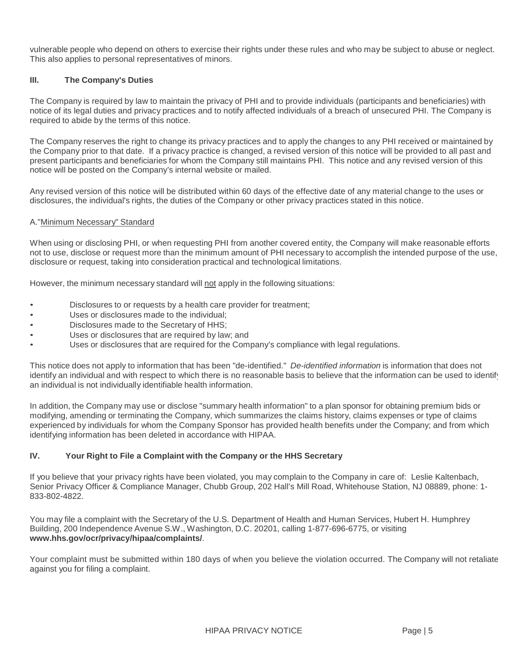vulnerable people who depend on others to exercise their rights under these rules and who may be subject to abuse or neglect. This also applies to personal representatives of minors.

#### **III. The Company's Duties**

The Company is required by law to maintain the privacy of PHI and to provide individuals (participants and beneficiaries) with notice of its legal duties and privacy practices and to notify affected individuals of a breach of unsecured PHI. The Company is required to abide by the terms of this notice.

The Company reserves the right to change its privacy practices and to apply the changes to any PHI received or maintained by the Company prior to that date. If a privacy practice is changed, a revised version of this notice will be provided to all past and present participants and beneficiaries for whom the Company still maintains PHI. This notice and any revised version of this notice will be posted on the Company's internal website or mailed.

Any revised version of this notice will be distributed within 60 days of the effective date of any material change to the uses or disclosures, the individual's rights, the duties of the Company or other privacy practices stated in this notice.

#### A."Minimum Necessary" Standard

When using or disclosing PHI, or when requesting PHI from another covered entity, the Company will make reasonable efforts not to use, disclose or request more than the minimum amount of PHI necessary to accomplish the intended purpose of the use, disclosure or request, taking into consideration practical and technological limitations.

However, the minimum necessary standard will not apply in the following situations:

- Disclosures to or requests by a health care provider for treatment;
- Uses or disclosures made to the individual;
- Disclosures made to the Secretary of HHS;
- Uses or disclosures that are required by law; and
- Uses or disclosures that are required for the Company's compliance with legal regulations.

This notice does not apply to information that has been "de-identified." De-identified information is information that does not identify an individual and with respect to which there is no reasonable basis to believe that the information can be used to identify an individual is not individually identifiable health information.

In addition, the Company may use or disclose "summary health information" to a plan sponsor for obtaining premium bids or modifying, amending or terminating the Company, which summarizes the claims history, claims expenses or type of claims experienced by individuals for whom the Company Sponsor has provided health benefits under the Company; and from which identifying information has been deleted in accordance with HIPAA.

#### **IV. Your Right to File a Complaint with the Company or the HHS Secretary**

If you believe that your privacy rights have been violated, you may complain to the Company in care of: Leslie Kaltenbach, Senior Privacy Officer & Compliance Manager, Chubb Group, 202 Hall's Mill Road, Whitehouse Station, NJ 08889, phone: 1- 833-802-4822.

You may file a complaint with the Secretary of the U.S. Department of Health and Human Services, Hubert H. Humphrey Building, 200 Independence Avenue S.W., Washington, D.C. 20201, calling 1-877-696-6775, or visiting **www.hhs.gov/ocr/privacy/hipaa/complaints/**.

Your complaint must be submitted within 180 days of when you believe the violation occurred. The Company will not retaliate against you for filing a complaint.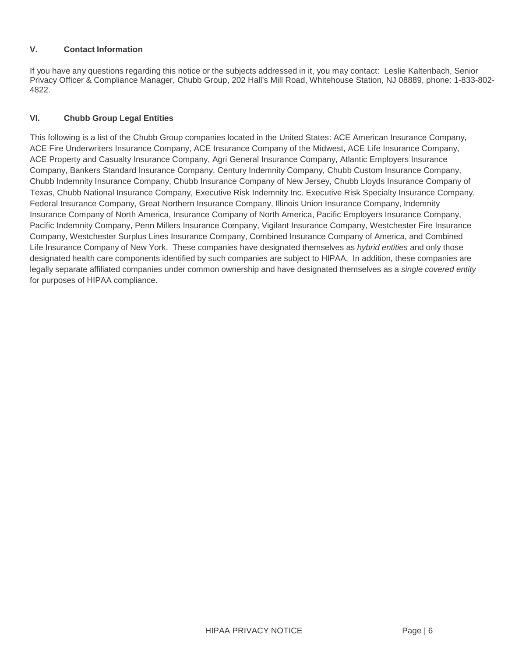#### **V. Contact Information**

If you have any questions regarding this notice or the subjects addressed in it, you may contact: Leslie Kaltenbach, Senior Privacy Officer & Compliance Manager, Chubb Group, 202 Hall's Mill Road, Whitehouse Station, NJ 08889, phone: 1-833-802- 4822.

## **VI. Chubb Group Legal Entities**

This following is a list of the Chubb Group companies located in the United States: ACE American Insurance Company, ACE Fire Underwriters Insurance Company, ACE Insurance Company of the Midwest, ACE Life Insurance Company, ACE Property and Casualty Insurance Company, Agri General Insurance Company, Atlantic Employers Insurance Company, Bankers Standard Insurance Company, Century Indemnity Company, Chubb Custom Insurance Company, Chubb Indemnity Insurance Company, Chubb Insurance Company of New Jersey, Chubb Lloyds Insurance Company of Texas, Chubb National Insurance Company, Executive Risk Indemnity Inc. Executive Risk Specialty Insurance Company, Federal Insurance Company, Great Northern Insurance Company, Illinois Union Insurance Company, Indemnity Insurance Company of North America, Insurance Company of North America, Pacific Employers Insurance Company, Pacific Indemnity Company, Penn Millers Insurance Company, Vigilant Insurance Company, Westchester Fire Insurance Company, Westchester Surplus Lines Insurance Company, Combined Insurance Company of America, and Combined Life Insurance Company of New York. These companies have designated themselves as hybrid entities and only those designated health care components identified by such companies are subject to HIPAA. In addition, these companies are legally separate affiliated companies under common ownership and have designated themselves as a single covered entity for purposes of HIPAA compliance.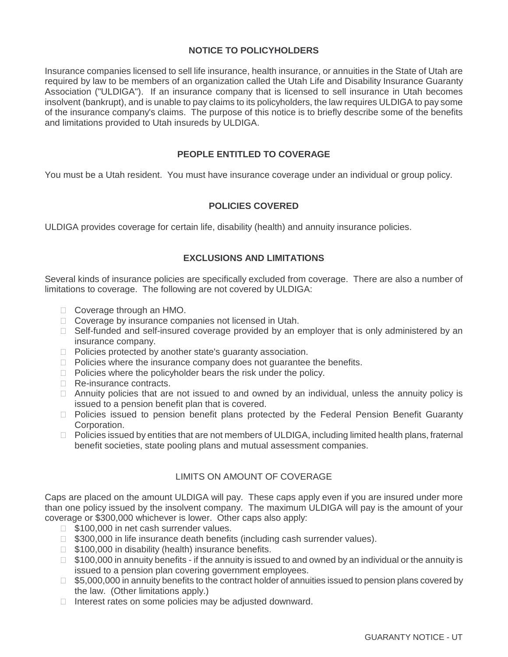# **NOTICE TO POLICYHOLDERS**

Insurance companies licensed to sell life insurance, health insurance, or annuities in the State of Utah are required by law to be members of an organization called the Utah Life and Disability Insurance Guaranty Association ("ULDIGA"). If an insurance company that is licensed to sell insurance in Utah becomes insolvent (bankrupt), and is unable to pay claims to its policyholders, the law requires ULDIGA to pay some of the insurance company's claims. The purpose of this notice is to briefly describe some of the benefits and limitations provided to Utah insureds by ULDIGA.

# **PEOPLE ENTITLED TO COVERAGE**

You must be a Utah resident. You must have insurance coverage under an individual or group policy.

# **POLICIES COVERED**

ULDIGA provides coverage for certain life, disability (health) and annuity insurance policies.

## **EXCLUSIONS AND LIMITATIONS**

Several kinds of insurance policies are specifically excluded from coverage. There are also a number of limitations to coverage. The following are not covered by ULDIGA:

Coverage through an HMO.

Coverage by insurance companies not licensed in Utah.

 Self-funded and self-insured coverage provided by an employer that is only administered by an insurance company.

Policies protected by another state's guaranty association.

Policies where the insurance company does not guarantee the benefits.

Policies where the policyholder bears the risk under the policy.

Re-insurance contracts.

 Annuity policies that are not issued to and owned by an individual, unless the annuity policy is issued to a pension benefit plan that is covered.

 Policies issued to pension benefit plans protected by the Federal Pension Benefit Guaranty Corporation.

 Policies issued by entities that are not members of ULDIGA, including limited health plans, fraternal benefit societies, state pooling plans and mutual assessment companies.

# LIMITS ON AMOUNT OF COVERAGE

Caps are placed on the amount ULDIGA will pay. These caps apply even if you are insured under more than one policy issued by the insolvent company. The maximum ULDIGA will pay is the amount of your coverage or \$300,000 whichever is lower. Other caps also apply:

\$100,000 in net cash surrender values.

\$300,000 in life insurance death benefits (including cash surrender values).

\$100,000 in disability (health) insurance benefits.

 \$100,000 in annuity benefits - if the annuity is issued to and owned by an individual or the annuity is issued to a pension plan covering government employees.

 \$5,000,000 in annuity benefits to the contract holder of annuities issued to pension plans covered by the law. (Other limitations apply.)

Interest rates on some policies may be adjusted downward.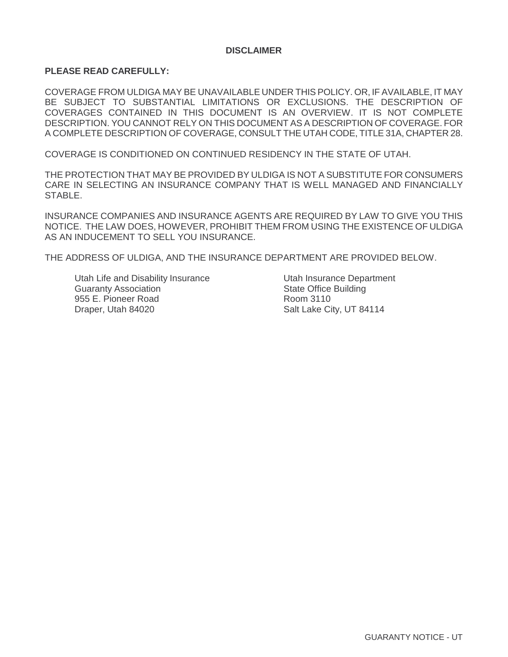## **DISCLAIMER**

#### **PLEASE READ CAREFULLY:**

COVERAGE FROM ULDIGA MAY BE UNAVAILABLE UNDER THIS POLICY. OR, IF AVAILABLE, IT MAY BE SUBJECT TO SUBSTANTIAL LIMITATIONS OR EXCLUSIONS. THE DESCRIPTION OF COVERAGES CONTAINED IN THIS DOCUMENT IS AN OVERVIEW. IT IS NOT COMPLETE DESCRIPTION. YOU CANNOT RELY ON THIS DOCUMENT AS A DESCRIPTION OF COVERAGE. FOR A COMPLETE DESCRIPTION OF COVERAGE, CONSULT THE UTAH CODE, TITLE 31A, CHAPTER 28.

COVERAGE IS CONDITIONED ON CONTINUED RESIDENCY IN THE STATE OF UTAH.

THE PROTECTION THAT MAY BE PROVIDED BY ULDIGA IS NOT A SUBSTITUTE FOR CONSUMERS CARE IN SELECTING AN INSURANCE COMPANY THAT IS WELL MANAGED AND FINANCIALLY STABLE.

INSURANCE COMPANIES AND INSURANCE AGENTS ARE REQUIRED BY LAW TO GIVE YOU THIS NOTICE. THE LAW DOES, HOWEVER, PROHIBIT THEM FROM USING THE EXISTENCE OF ULDIGA AS AN INDUCEMENT TO SELL YOU INSURANCE.

THE ADDRESS OF ULDIGA, AND THE INSURANCE DEPARTMENT ARE PROVIDED BELOW.

Utah Life and Disability Insurance **Utah Insurance Department** Guaranty Association **State Office Building** State Office Building 955 E. Pioneer Road Room 3110 Draper, Utah 84020 Salt Lake City, UT 84114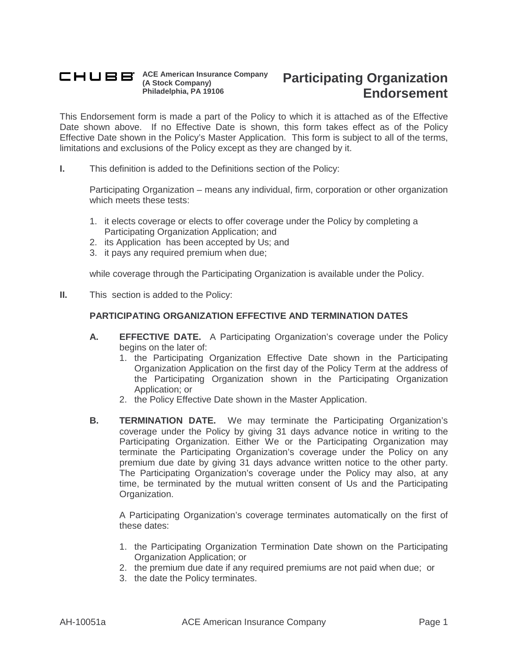#### **ACE American Insurance Company (A Stock Company) Philadelphia, PA 19106**

# **Participating Organization Endorsement**

This Endorsement form is made a part of the Policy to which it is attached as of the Effective Date shown above. If no Effective Date is shown, this form takes effect as of the Policy Effective Date shown in the Policy's Master Application. This form is subject to all of the terms, limitations and exclusions of the Policy except as they are changed by it.

**I.** This definition is added to the Definitions section of the Policy:

Participating Organization – means any individual, firm, corporation or other organization which meets these tests:

- 1. it elects coverage or elects to offer coverage under the Policy by completing a Participating Organization Application; and
- 2. its Application has been accepted by Us; and
- 3. it pays any required premium when due;

while coverage through the Participating Organization is available under the Policy.

**II.** This section is added to the Policy:

## **PARTICIPATING ORGANIZATION EFFECTIVE AND TERMINATION DATES**

- **A. EFFECTIVE DATE.** A Participating Organization's coverage under the Policy begins on the later of:
	- 1. the Participating Organization Effective Date shown in the Participating Organization Application on the first day of the Policy Term at the address of the Participating Organization shown in the Participating Organization Application; or
	- 2. the Policy Effective Date shown in the Master Application.
- **B. TERMINATION DATE.** We may terminate the Participating Organization's coverage under the Policy by giving 31 days advance notice in writing to the Participating Organization. Either We or the Participating Organization may terminate the Participating Organization's coverage under the Policy on any premium due date by giving 31 days advance written notice to the other party. The Participating Organization's coverage under the Policy may also, at any time, be terminated by the mutual written consent of Us and the Participating Organization.

A Participating Organization's coverage terminates automatically on the first of these dates:

- 1. the Participating Organization Termination Date shown on the Participating Organization Application; or
- 2. the premium due date if any required premiums are not paid when due; or
- 3. the date the Policy terminates.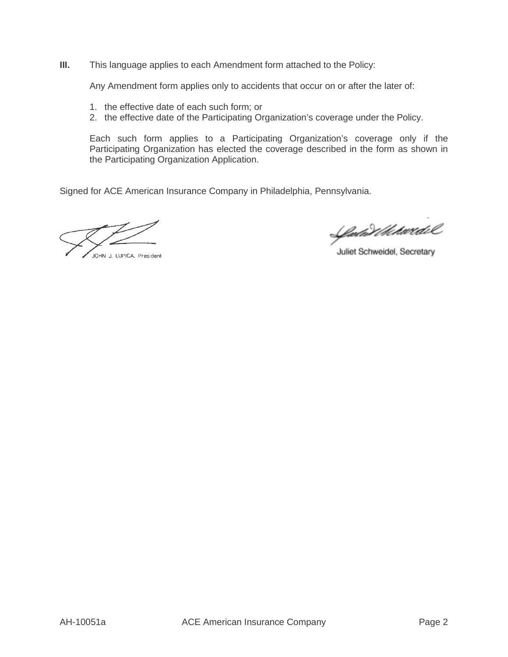**III.** This language applies to each Amendment form attached to the Policy:

Any Amendment form applies only to accidents that occur on or after the later of:

- 1. the effective date of each such form; or
- 2. the effective date of the Participating Organization's coverage under the Policy.

Each such form applies to a Participating Organization's coverage only if the Participating Organization has elected the coverage described in the form as shown in the Participating Organization Application.

Signed for ACE American Insurance Company in Philadelphia, Pennsylvania.

-<br>JOHN J. LUPICA, President

Ludwith hardel

Juliet Schweidel, Secretary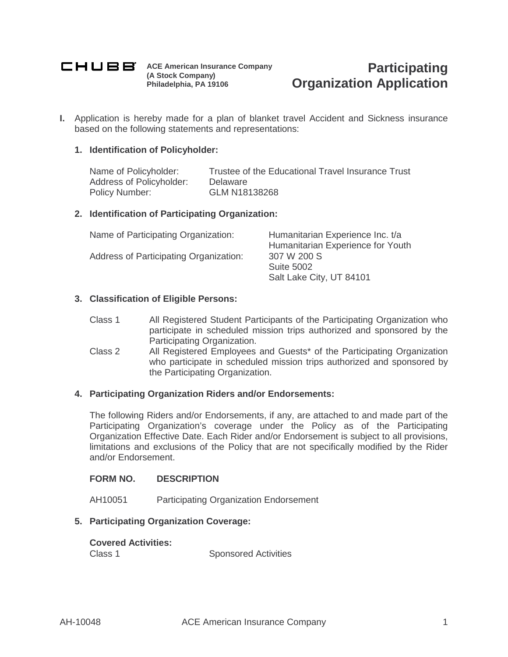

**ACE American Insurance Company (A Stock Company) Philadelphia, PA 19106**

**I.** Application is hereby made for a plan of blanket travel Accident and Sickness insurance based on the following statements and representations:

## **1. Identification of Policyholder:**

Name of Policyholder: Trustee of the Educational Travel Insurance Trust Address of Policyholder: Delaware<br>Policy Number: GLM N18 GLM N18138268

## **2. Identification of Participating Organization:**

| Humanitarian Experience Inc. t/a  |
|-----------------------------------|
| Humanitarian Experience for Youth |
| 307 W 200 S                       |
| <b>Suite 5002</b>                 |
| Salt Lake City, UT 84101          |
|                                   |

## **3. Classification of Eligible Persons:**

- Class 1 All Registered Student Participants of the Participating Organization who participate in scheduled mission trips authorized and sponsored by the Participating Organization.
- Class 2 All Registered Employees and Guests\* of the Participating Organization who participate in scheduled mission trips authorized and sponsored by the Participating Organization.

#### **4. Participating Organization Riders and/or Endorsements:**

The following Riders and/or Endorsements, if any, are attached to and made part of the Participating Organization's coverage under the Policy as of the Participating Organization Effective Date. Each Rider and/or Endorsement is subject to all provisions, limitations and exclusions of the Policy that are not specifically modified by the Rider and/or Endorsement.

## **FORM NO. DESCRIPTION**

AH10051 Participating Organization Endorsement

#### **5. Participating Organization Coverage:**

#### **Covered Activities:**

Class 1 Sponsored Activities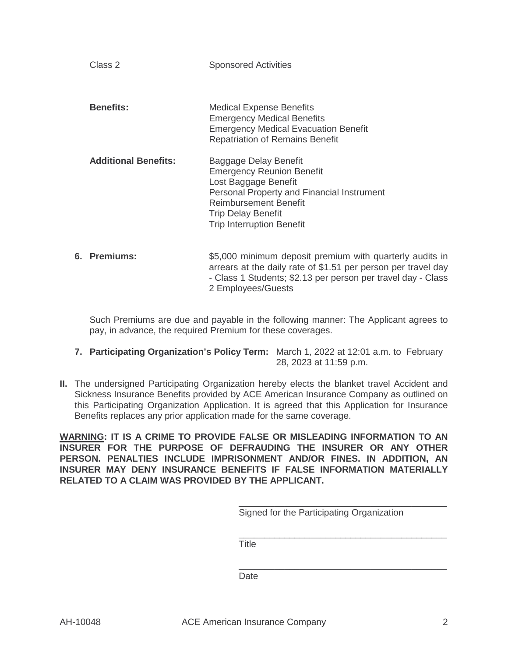| Class 2                     | <b>Sponsored Activities</b>                                                                                                                                                                                                      |
|-----------------------------|----------------------------------------------------------------------------------------------------------------------------------------------------------------------------------------------------------------------------------|
| <b>Benefits:</b>            | <b>Medical Expense Benefits</b><br><b>Emergency Medical Benefits</b><br><b>Emergency Medical Evacuation Benefit</b><br><b>Repatriation of Remains Benefit</b>                                                                    |
| <b>Additional Benefits:</b> | Baggage Delay Benefit<br><b>Emergency Reunion Benefit</b><br>Lost Baggage Benefit<br>Personal Property and Financial Instrument<br><b>Reimbursement Benefit</b><br><b>Trip Delay Benefit</b><br><b>Trip Interruption Benefit</b> |
| 6. Premiums:                | \$5,000 minimum deposit premium with quarterly audits in<br>arrears at the daily rate of \$1.51 per person per travel day                                                                                                        |

Such Premiums are due and payable in the following manner: The Applicant agrees to pay, in advance, the required Premium for these coverages.

**7. Participating Organization's Policy Term:** March 1, 2022 at 12:01 a.m. to February 28, 2023 at 11:59 p.m.

2 Employees/Guests

**II.** The undersigned Participating Organization hereby elects the blanket travel Accident and Sickness Insurance Benefits provided by ACE American Insurance Company as outlined on this Participating Organization Application. It is agreed that this Application for Insurance Benefits replaces any prior application made for the same coverage.

**WARNING: IT IS A CRIME TO PROVIDE FALSE OR MISLEADING INFORMATION TO AN INSURER FOR THE PURPOSE OF DEFRAUDING THE INSURER OR ANY OTHER PERSON. PENALTIES INCLUDE IMPRISONMENT AND/OR FINES. IN ADDITION, AN INSURER MAY DENY INSURANCE BENEFITS IF FALSE INFORMATION MATERIALLY RELATED TO A CLAIM WAS PROVIDED BY THE APPLICANT.**

Signed for the Participating Organization

\_\_\_\_\_\_\_\_\_\_\_\_\_\_\_\_\_\_\_\_\_\_\_\_\_\_\_\_\_\_\_\_\_\_\_\_\_\_\_\_\_

\_\_\_\_\_\_\_\_\_\_\_\_\_\_\_\_\_\_\_\_\_\_\_\_\_\_\_\_\_\_\_\_\_\_\_\_\_\_\_\_\_

- Class 1 Students; \$2.13 per person per travel day - Class

**Title** 

\_\_\_\_\_\_\_\_\_\_\_\_\_\_\_\_\_\_\_\_\_\_\_\_\_\_\_\_\_\_\_\_\_\_\_\_\_\_\_\_\_ Date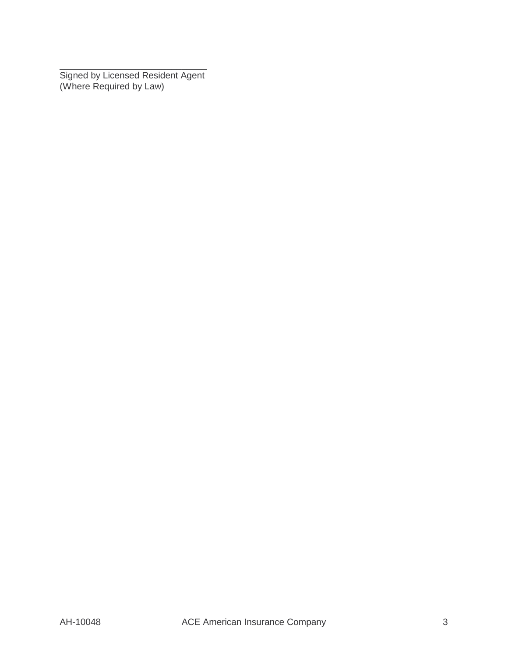\_\_\_\_\_\_\_\_\_\_\_\_\_\_\_\_\_\_\_\_\_\_\_\_\_\_\_\_\_ Signed by Licensed Resident Agent (Where Required by Law)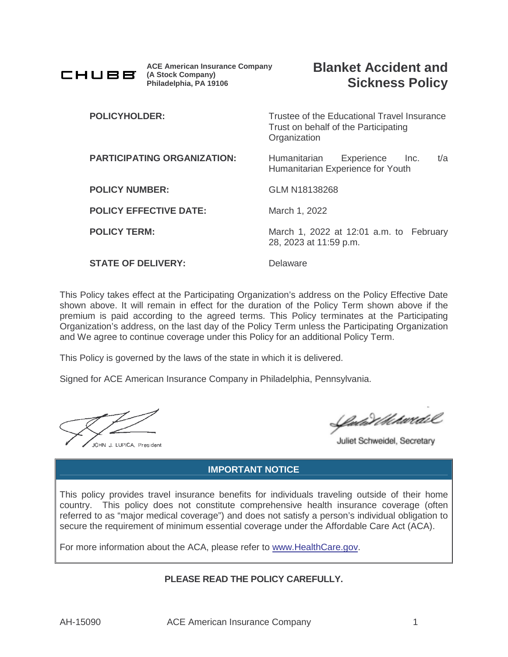

**ACE American Insurance Company (A Stock Company) Philadelphia, PA 19106**

| <b>POLICYHOLDER:</b>               | Trustee of the Educational Travel Insurance<br>Trust on behalf of the Participating<br>Organization |
|------------------------------------|-----------------------------------------------------------------------------------------------------|
| <b>PARTICIPATING ORGANIZATION:</b> | t/a<br>Humanitarian<br>Experience<br>lnc.<br>Humanitarian Experience for Youth                      |
| <b>POLICY NUMBER:</b>              | GLM N18138268                                                                                       |
| <b>POLICY EFFECTIVE DATE:</b>      | March 1, 2022                                                                                       |
| <b>POLICY TERM:</b>                | March 1, 2022 at 12:01 a.m. to February<br>28, 2023 at 11:59 p.m.                                   |
| <b>STATE OF DELIVERY:</b>          | Delaware                                                                                            |

This Policy takes effect at the Participating Organization's address on the Policy Effective Date shown above. It will remain in effect for the duration of the Policy Term shown above if the premium is paid according to the agreed terms. This Policy terminates at the Participating Organization's address, on the last day of the Policy Term unless the Participating Organization and We agree to continue coverage under this Policy for an additional Policy Term.

This Policy is governed by the laws of the state in which it is delivered.

Signed for ACE American Insurance Company in Philadelphia, Pennsylvania.

JOHN J. LUPICA, President

*Cula Vikhwidi*l

Juliet Schweidel, Secretary

# **IMPORTANT NOTICE**

This policy provides travel insurance benefits for individuals traveling outside of their home country. This policy does not constitute comprehensive health insurance coverage (often referred to as "major medical coverage") and does not satisfy a person's individual obligation to secure the requirement of minimum essential coverage under the Affordable Care Act (ACA).

For more information about the ACA, please refer to www.HealthCare.gov.

# **PLEASE READ THE POLICY CAREFULLY.**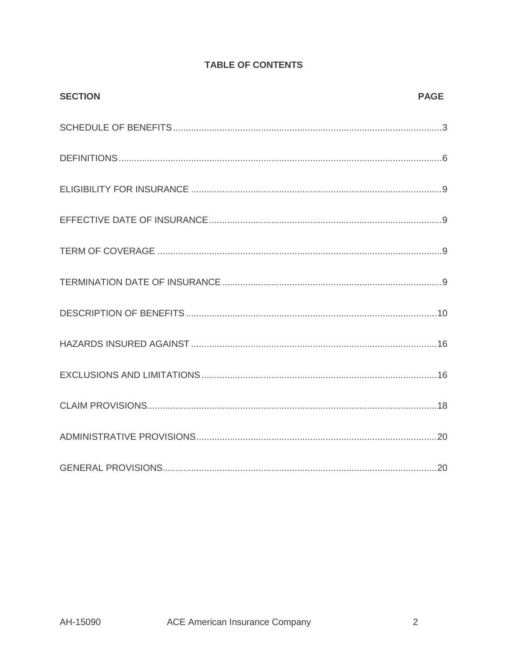| <b>SECTION</b> | <b>PAGE</b> |
|----------------|-------------|
|                |             |
|                |             |
|                |             |
|                |             |
|                |             |
|                |             |
|                |             |
|                |             |
|                |             |
|                |             |
|                |             |
|                |             |

# **TABLE OF CONTENTS**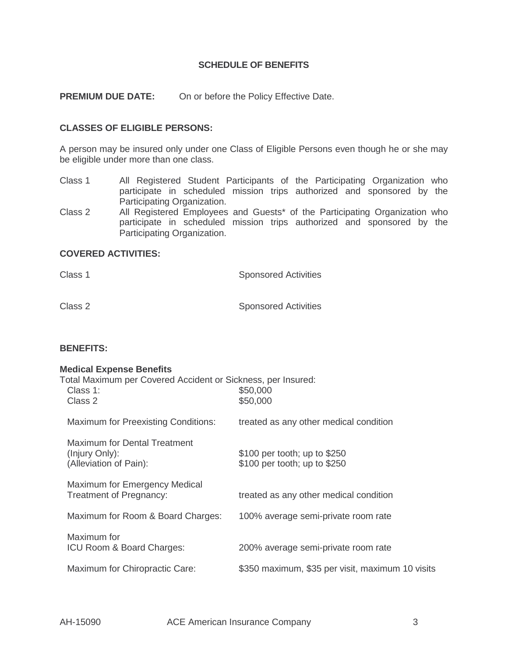#### **SCHEDULE OF BENEFITS**

**PREMIUM DUE DATE:** On or before the Policy Effective Date.

## **CLASSES OF ELIGIBLE PERSONS:**

A person may be insured only under one Class of Eligible Persons even though he or she may be eligible under more than one class.

- Class 1 All Registered Student Participants of the Participating Organization who participate in scheduled mission trips authorized and sponsored by the Participating Organization.
- Class 2 All Registered Employees and Guests\* of the Participating Organization who participate in scheduled mission trips authorized and sponsored by the Participating Organization.

## **COVERED ACTIVITIES:**

| Class 1 | <b>Sponsored Activities</b> |
|---------|-----------------------------|
| Class 2 | <b>Sponsored Activities</b> |

# **BENEFITS:**

#### **Medical Expense Benefits**

| Total Maximum per Covered Accident or Sickness, per Insured:<br>Class 1:<br>Class 2 | \$50,000<br>\$50,000                                         |
|-------------------------------------------------------------------------------------|--------------------------------------------------------------|
| <b>Maximum for Preexisting Conditions:</b>                                          | treated as any other medical condition                       |
| <b>Maximum for Dental Treatment</b><br>(Injury Only):<br>(Alleviation of Pain):     | \$100 per tooth; up to \$250<br>\$100 per tooth; up to \$250 |
| Maximum for Emergency Medical<br>Treatment of Pregnancy:                            | treated as any other medical condition                       |
| Maximum for Room & Board Charges:                                                   | 100% average semi-private room rate                          |
| Maximum for<br>ICU Room & Board Charges:                                            | 200% average semi-private room rate                          |
| Maximum for Chiropractic Care:                                                      | \$350 maximum, \$35 per visit, maximum 10 visits             |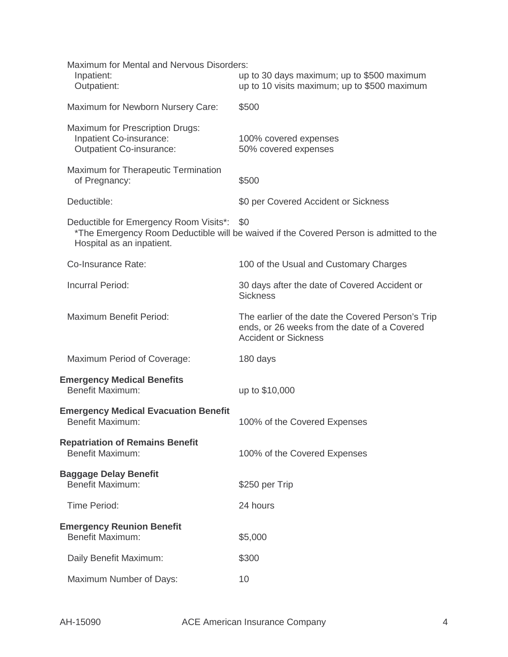| Maximum for Mental and Nervous Disorders:<br>Inpatient:<br>Outpatient:                               | up to 30 days maximum; up to \$500 maximum<br>up to 10 visits maximum; up to \$500 maximum                                       |
|------------------------------------------------------------------------------------------------------|----------------------------------------------------------------------------------------------------------------------------------|
| Maximum for Newborn Nursery Care:                                                                    | \$500                                                                                                                            |
| <b>Maximum for Prescription Drugs:</b><br>Inpatient Co-insurance:<br><b>Outpatient Co-insurance:</b> | 100% covered expenses<br>50% covered expenses                                                                                    |
| Maximum for Therapeutic Termination<br>of Pregnancy:                                                 | \$500                                                                                                                            |
| Deductible:                                                                                          | \$0 per Covered Accident or Sickness                                                                                             |
| Deductible for Emergency Room Visits*:<br>Hospital as an inpatient.                                  | \$0<br>*The Emergency Room Deductible will be waived if the Covered Person is admitted to the                                    |
| Co-Insurance Rate:                                                                                   | 100 of the Usual and Customary Charges                                                                                           |
| <b>Incurral Period:</b>                                                                              | 30 days after the date of Covered Accident or<br><b>Sickness</b>                                                                 |
| Maximum Benefit Period:                                                                              | The earlier of the date the Covered Person's Trip<br>ends, or 26 weeks from the date of a Covered<br><b>Accident or Sickness</b> |
| Maximum Period of Coverage:                                                                          | 180 days                                                                                                                         |
| <b>Emergency Medical Benefits</b><br><b>Benefit Maximum:</b>                                         | up to \$10,000                                                                                                                   |
| <b>Emergency Medical Evacuation Benefit</b><br><b>Benefit Maximum:</b>                               | 100% of the Covered Expenses                                                                                                     |
| <b>Repatriation of Remains Benefit</b><br><b>Benefit Maximum:</b>                                    | 100% of the Covered Expenses                                                                                                     |
| <b>Baggage Delay Benefit</b><br><b>Benefit Maximum:</b>                                              | \$250 per Trip                                                                                                                   |
| <b>Time Period:</b>                                                                                  | 24 hours                                                                                                                         |
| <b>Emergency Reunion Benefit</b><br><b>Benefit Maximum:</b>                                          | \$5,000                                                                                                                          |
| Daily Benefit Maximum:                                                                               | \$300                                                                                                                            |
| Maximum Number of Days:                                                                              | 10                                                                                                                               |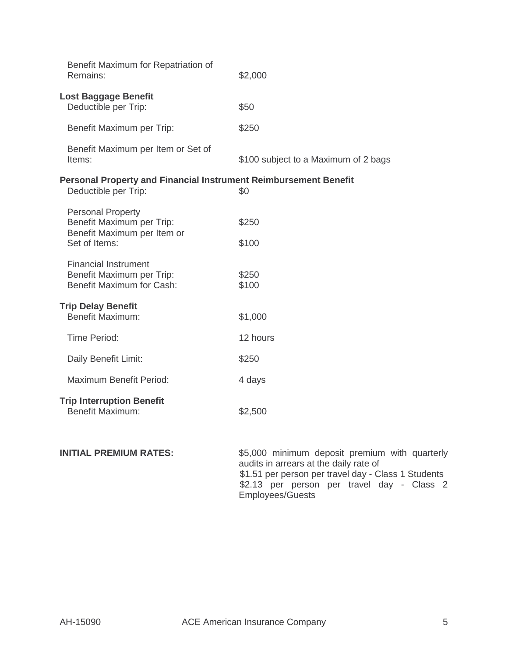| Benefit Maximum for Repatriation of<br>Remains:                                                       | \$2,000                              |
|-------------------------------------------------------------------------------------------------------|--------------------------------------|
| <b>Lost Baggage Benefit</b><br>Deductible per Trip:                                                   | \$50                                 |
| Benefit Maximum per Trip:                                                                             | \$250                                |
| Benefit Maximum per Item or Set of<br>Items:                                                          | \$100 subject to a Maximum of 2 bags |
| Personal Property and Financial Instrument Reimbursement Benefit<br>Deductible per Trip:              | \$0                                  |
| <b>Personal Property</b><br>Benefit Maximum per Trip:<br>Benefit Maximum per Item or<br>Set of Items: | \$250<br>\$100                       |
| <b>Financial Instrument</b><br>Benefit Maximum per Trip:<br>Benefit Maximum for Cash:                 | \$250<br>\$100                       |
| <b>Trip Delay Benefit</b><br><b>Benefit Maximum:</b>                                                  | \$1,000                              |
| Time Period:                                                                                          | 12 hours                             |
| Daily Benefit Limit:                                                                                  | \$250                                |
| Maximum Benefit Period:                                                                               | 4 days                               |
| <b>Trip Interruption Benefit</b><br><b>Benefit Maximum:</b>                                           | \$2,500                              |

**INITIAL PREMIUM RATES:** \$5,000 minimum deposit premium with quarterly audits in arrears at the daily rate of \$1.51 per person per travel day - Class 1 Students \$2.13 per person per travel day - Class 2 Employees/Guests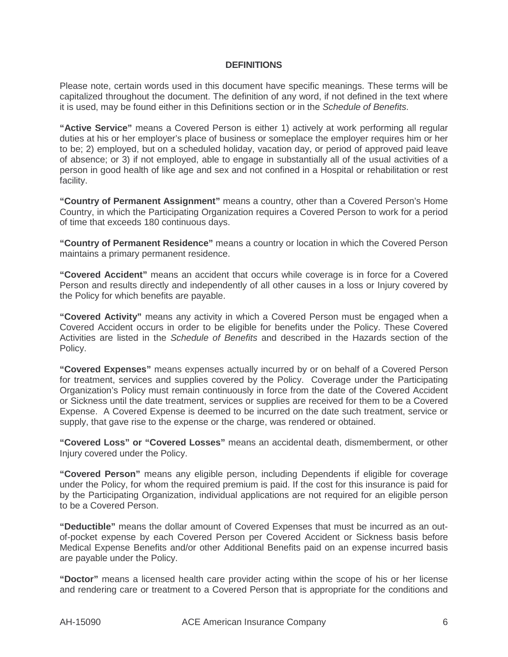#### **DEFINITIONS**

Please note, certain words used in this document have specific meanings. These terms will be capitalized throughout the document. The definition of any word, if not defined in the text where it is used, may be found either in this Definitions section or in the Schedule of Benefits.

**"Active Service"** means a Covered Person is either 1) actively at work performing all regular duties at his or her employer's place of business or someplace the employer requires him or her to be; 2) employed, but on a scheduled holiday, vacation day, or period of approved paid leave of absence; or 3) if not employed, able to engage in substantially all of the usual activities of a person in good health of like age and sex and not confined in a Hospital or rehabilitation or rest facility.

**"Country of Permanent Assignment"** means a country, other than a Covered Person's Home Country, in which the Participating Organization requires a Covered Person to work for a period of time that exceeds 180 continuous days.

**"Country of Permanent Residence"** means a country or location in which the Covered Person maintains a primary permanent residence.

**"Covered Accident"** means an accident that occurs while coverage is in force for a Covered Person and results directly and independently of all other causes in a loss or Injury covered by the Policy for which benefits are payable.

**"Covered Activity"** means any activity in which a Covered Person must be engaged when a Covered Accident occurs in order to be eligible for benefits under the Policy. These Covered Activities are listed in the *Schedule of Benefits* and described in the Hazards section of the Policy.

**"Covered Expenses"** means expenses actually incurred by or on behalf of a Covered Person for treatment, services and supplies covered by the Policy. Coverage under the Participating Organization's Policy must remain continuously in force from the date of the Covered Accident or Sickness until the date treatment, services or supplies are received for them to be a Covered Expense. A Covered Expense is deemed to be incurred on the date such treatment, service or supply, that gave rise to the expense or the charge, was rendered or obtained.

**"Covered Loss" or "Covered Losses"** means an accidental death, dismemberment, or other Injury covered under the Policy.

**"Covered Person"** means any eligible person, including Dependents if eligible for coverage under the Policy, for whom the required premium is paid. If the cost for this insurance is paid for by the Participating Organization, individual applications are not required for an eligible person to be a Covered Person.

**"Deductible"** means the dollar amount of Covered Expenses that must be incurred as an outof-pocket expense by each Covered Person per Covered Accident or Sickness basis before Medical Expense Benefits and/or other Additional Benefits paid on an expense incurred basis are payable under the Policy.

**"Doctor"** means a licensed health care provider acting within the scope of his or her license and rendering care or treatment to a Covered Person that is appropriate for the conditions and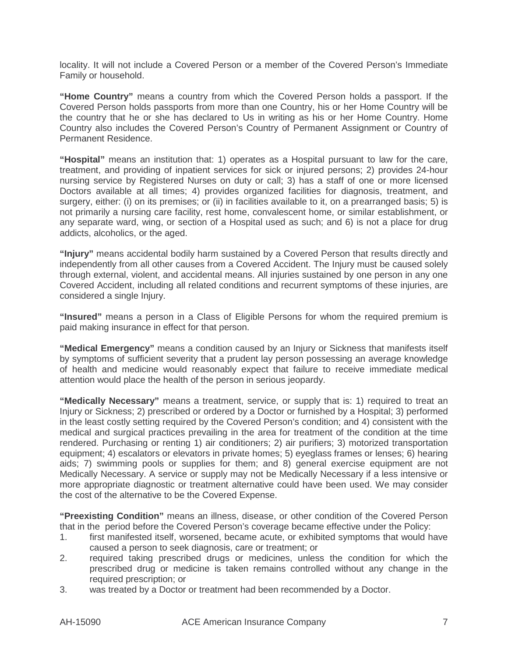locality. It will not include a Covered Person or a member of the Covered Person's Immediate Family or household.

**"Home Country"** means a country from which the Covered Person holds a passport. If the Covered Person holds passports from more than one Country, his or her Home Country will be the country that he or she has declared to Us in writing as his or her Home Country. Home Country also includes the Covered Person's Country of Permanent Assignment or Country of Permanent Residence.

**"Hospital"** means an institution that: 1) operates as a Hospital pursuant to law for the care, treatment, and providing of inpatient services for sick or injured persons; 2) provides 24-hour nursing service by Registered Nurses on duty or call; 3) has a staff of one or more licensed Doctors available at all times; 4) provides organized facilities for diagnosis, treatment, and surgery, either: (i) on its premises; or (ii) in facilities available to it, on a prearranged basis; 5) is not primarily a nursing care facility, rest home, convalescent home, or similar establishment, or any separate ward, wing, or section of a Hospital used as such; and 6) is not a place for drug addicts, alcoholics, or the aged.

**"Injury"** means accidental bodily harm sustained by a Covered Person that results directly and independently from all other causes from a Covered Accident. The Injury must be caused solely through external, violent, and accidental means. All injuries sustained by one person in any one Covered Accident, including all related conditions and recurrent symptoms of these injuries, are considered a single Injury.

**"Insured"** means a person in a Class of Eligible Persons for whom the required premium is paid making insurance in effect for that person.

**"Medical Emergency"** means a condition caused by an Injury or Sickness that manifests itself by symptoms of sufficient severity that a prudent lay person possessing an average knowledge of health and medicine would reasonably expect that failure to receive immediate medical attention would place the health of the person in serious jeopardy.

**"Medically Necessary"** means a treatment, service, or supply that is: 1) required to treat an Injury or Sickness; 2) prescribed or ordered by a Doctor or furnished by a Hospital; 3) performed in the least costly setting required by the Covered Person's condition; and 4) consistent with the medical and surgical practices prevailing in the area for treatment of the condition at the time rendered. Purchasing or renting 1) air conditioners; 2) air purifiers; 3) motorized transportation equipment; 4) escalators or elevators in private homes; 5) eyeglass frames or lenses; 6) hearing aids; 7) swimming pools or supplies for them; and 8) general exercise equipment are not Medically Necessary. A service or supply may not be Medically Necessary if a less intensive or more appropriate diagnostic or treatment alternative could have been used. We may consider the cost of the alternative to be the Covered Expense.

**"Preexisting Condition"** means an illness, disease, or other condition of the Covered Person that in the period before the Covered Person's coverage became effective under the Policy:

- 1. first manifested itself, worsened, became acute, or exhibited symptoms that would have caused a person to seek diagnosis, care or treatment; or
- 2. required taking prescribed drugs or medicines, unless the condition for which the prescribed drug or medicine is taken remains controlled without any change in the required prescription; or
- 3. was treated by a Doctor or treatment had been recommended by a Doctor.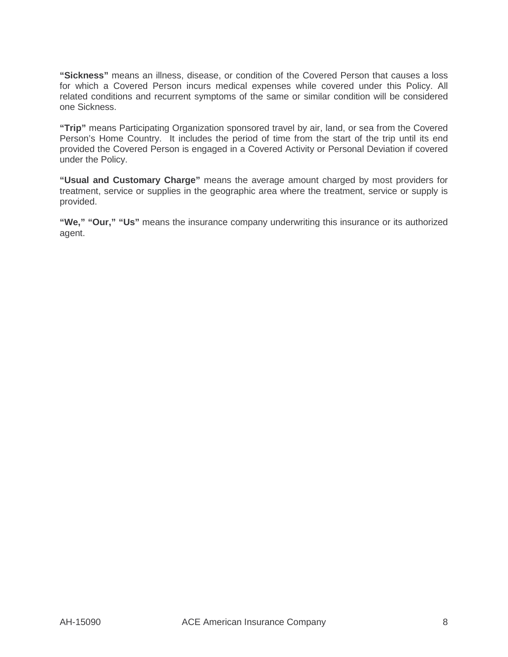**"Sickness"** means an illness, disease, or condition of the Covered Person that causes a loss for which a Covered Person incurs medical expenses while covered under this Policy. All related conditions and recurrent symptoms of the same or similar condition will be considered one Sickness.

**"Trip"** means Participating Organization sponsored travel by air, land, or sea from the Covered Person's Home Country. It includes the period of time from the start of the trip until its end provided the Covered Person is engaged in a Covered Activity or Personal Deviation if covered under the Policy.

**"Usual and Customary Charge"** means the average amount charged by most providers for treatment, service or supplies in the geographic area where the treatment, service or supply is provided.

**"We," "Our," "Us"** means the insurance company underwriting this insurance or its authorized agent.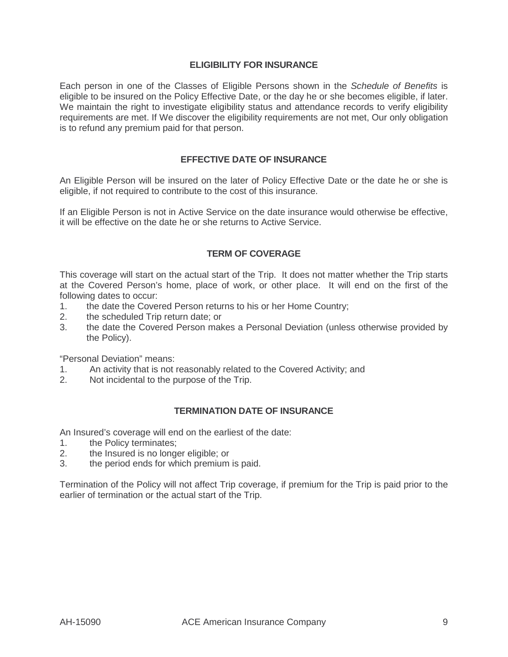## **ELIGIBILITY FOR INSURANCE**

Each person in one of the Classes of Eligible Persons shown in the Schedule of Benefits is eligible to be insured on the Policy Effective Date, or the day he or she becomes eligible, if later. We maintain the right to investigate eligibility status and attendance records to verify eligibility requirements are met. If We discover the eligibility requirements are not met, Our only obligation is to refund any premium paid for that person.

## **EFFECTIVE DATE OF INSURANCE**

An Eligible Person will be insured on the later of Policy Effective Date or the date he or she is eligible, if not required to contribute to the cost of this insurance.

If an Eligible Person is not in Active Service on the date insurance would otherwise be effective, it will be effective on the date he or she returns to Active Service.

## **TERM OF COVERAGE**

This coverage will start on the actual start of the Trip. It does not matter whether the Trip starts at the Covered Person's home, place of work, or other place. It will end on the first of the following dates to occur:

- 1. the date the Covered Person returns to his or her Home Country;
- 2. the scheduled Trip return date; or
- 3. the date the Covered Person makes a Personal Deviation (unless otherwise provided by the Policy).

"Personal Deviation" means:

- 1. An activity that is not reasonably related to the Covered Activity; and
- 2. Not incidental to the purpose of the Trip.

#### **TERMINATION DATE OF INSURANCE**

An Insured's coverage will end on the earliest of the date:

- 1. the Policy terminates;
- 2. the Insured is no longer eligible; or
- 3. the period ends for which premium is paid.

Termination of the Policy will not affect Trip coverage, if premium for the Trip is paid prior to the earlier of termination or the actual start of the Trip.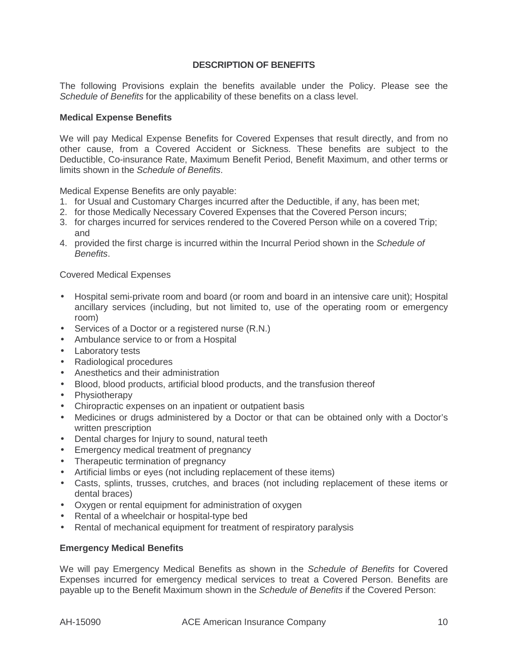## **DESCRIPTION OF BENEFITS**

The following Provisions explain the benefits available under the Policy. Please see the Schedule of Benefits for the applicability of these benefits on a class level.

#### **Medical Expense Benefits**

We will pay Medical Expense Benefits for Covered Expenses that result directly, and from no other cause, from a Covered Accident or Sickness. These benefits are subject to the Deductible, Co-insurance Rate, Maximum Benefit Period, Benefit Maximum, and other terms or limits shown in the Schedule of Benefits.

Medical Expense Benefits are only payable:

- 1. for Usual and Customary Charges incurred after the Deductible, if any, has been met;
- 2. for those Medically Necessary Covered Expenses that the Covered Person incurs;
- 3. for charges incurred for services rendered to the Covered Person while on a covered Trip; and
- 4. provided the first charge is incurred within the Incurral Period shown in the Schedule of Benefits.

Covered Medical Expenses

- Hospital semi-private room and board (or room and board in an intensive care unit); Hospital ancillary services (including, but not limited to, use of the operating room or emergency room)
- Services of a Doctor or a registered nurse (R.N.)
- Ambulance service to or from a Hospital
- Laboratory tests
- Radiological procedures
- Anesthetics and their administration
- Blood, blood products, artificial blood products, and the transfusion thereof
- Physiotherapy
- Chiropractic expenses on an inpatient or outpatient basis
- Medicines or drugs administered by a Doctor or that can be obtained only with a Doctor's written prescription
- Dental charges for Injury to sound, natural teeth
- Emergency medical treatment of pregnancy
- Therapeutic termination of pregnancy
- Artificial limbs or eyes (not including replacement of these items)
- Casts, splints, trusses, crutches, and braces (not including replacement of these items or dental braces)
- Oxygen or rental equipment for administration of oxygen
- Rental of a wheelchair or hospital-type bed
- Rental of mechanical equipment for treatment of respiratory paralysis

#### **Emergency Medical Benefits**

We will pay Emergency Medical Benefits as shown in the Schedule of Benefits for Covered Expenses incurred for emergency medical services to treat a Covered Person. Benefits are payable up to the Benefit Maximum shown in the Schedule of Benefits if the Covered Person: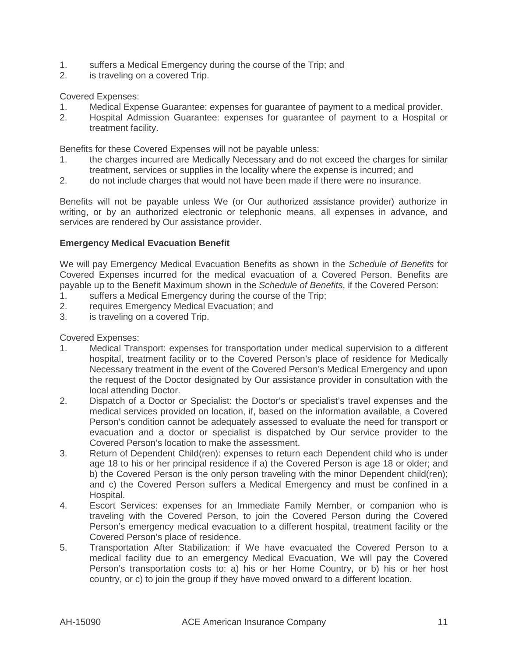- 1. suffers a Medical Emergency during the course of the Trip; and
- 2. is traveling on a covered Trip.

Covered Expenses:

- 1. Medical Expense Guarantee: expenses for guarantee of payment to a medical provider.
- 2. Hospital Admission Guarantee: expenses for guarantee of payment to a Hospital or treatment facility.

Benefits for these Covered Expenses will not be payable unless:

- 1. the charges incurred are Medically Necessary and do not exceed the charges for similar treatment, services or supplies in the locality where the expense is incurred; and
- 2. do not include charges that would not have been made if there were no insurance.

Benefits will not be payable unless We (or Our authorized assistance provider) authorize in writing, or by an authorized electronic or telephonic means, all expenses in advance, and services are rendered by Our assistance provider.

## **Emergency Medical Evacuation Benefit**

We will pay Emergency Medical Evacuation Benefits as shown in the Schedule of Benefits for Covered Expenses incurred for the medical evacuation of a Covered Person. Benefits are payable up to the Benefit Maximum shown in the Schedule of Benefits, if the Covered Person:

- 1. suffers a Medical Emergency during the course of the Trip;<br>2. Feaurres Emergency Medical Evacuation: and
- requires Emergency Medical Evacuation; and
- 3. is traveling on a covered Trip.

Covered Expenses:

- 1. Medical Transport: expenses for transportation under medical supervision to a different hospital, treatment facility or to the Covered Person's place of residence for Medically Necessary treatment in the event of the Covered Person's Medical Emergency and upon the request of the Doctor designated by Our assistance provider in consultation with the local attending Doctor.
- 2. Dispatch of a Doctor or Specialist: the Doctor's or specialist's travel expenses and the medical services provided on location, if, based on the information available, a Covered Person's condition cannot be adequately assessed to evaluate the need for transport or evacuation and a doctor or specialist is dispatched by Our service provider to the Covered Person's location to make the assessment.
- 3. Return of Dependent Child(ren): expenses to return each Dependent child who is under age 18 to his or her principal residence if a) the Covered Person is age 18 or older; and b) the Covered Person is the only person traveling with the minor Dependent child(ren); and c) the Covered Person suffers a Medical Emergency and must be confined in a Hospital.
- 4. Escort Services: expenses for an Immediate Family Member, or companion who is traveling with the Covered Person, to join the Covered Person during the Covered Person's emergency medical evacuation to a different hospital, treatment facility or the Covered Person's place of residence.
- 5. Transportation After Stabilization: if We have evacuated the Covered Person to a medical facility due to an emergency Medical Evacuation, We will pay the Covered Person's transportation costs to: a) his or her Home Country, or b) his or her host country, or c) to join the group if they have moved onward to a different location.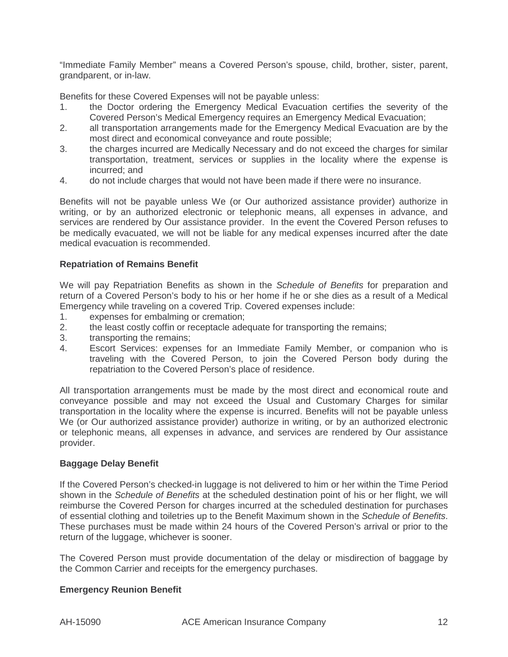"Immediate Family Member" means a Covered Person's spouse, child, brother, sister, parent, grandparent, or in-law.

Benefits for these Covered Expenses will not be payable unless:

- 1. the Doctor ordering the Emergency Medical Evacuation certifies the severity of the Covered Person's Medical Emergency requires an Emergency Medical Evacuation;
- 2. all transportation arrangements made for the Emergency Medical Evacuation are by the most direct and economical conveyance and route possible;
- 3. the charges incurred are Medically Necessary and do not exceed the charges for similar transportation, treatment, services or supplies in the locality where the expense is incurred; and
- 4. do not include charges that would not have been made if there were no insurance.

Benefits will not be payable unless We (or Our authorized assistance provider) authorize in writing, or by an authorized electronic or telephonic means, all expenses in advance, and services are rendered by Our assistance provider. In the event the Covered Person refuses to be medically evacuated, we will not be liable for any medical expenses incurred after the date medical evacuation is recommended.

## **Repatriation of Remains Benefit**

We will pay Repatriation Benefits as shown in the Schedule of Benefits for preparation and return of a Covered Person's body to his or her home if he or she dies as a result of a Medical Emergency while traveling on a covered Trip. Covered expenses include:

- 1. expenses for embalming or cremation;
- 2. the least costly coffin or receptacle adequate for transporting the remains;
- 3. transporting the remains;
- 4. Escort Services: expenses for an Immediate Family Member, or companion who is traveling with the Covered Person, to join the Covered Person body during the repatriation to the Covered Person's place of residence.

All transportation arrangements must be made by the most direct and economical route and conveyance possible and may not exceed the Usual and Customary Charges for similar transportation in the locality where the expense is incurred. Benefits will not be payable unless We (or Our authorized assistance provider) authorize in writing, or by an authorized electronic or telephonic means, all expenses in advance, and services are rendered by Our assistance provider.

#### **Baggage Delay Benefit**

If the Covered Person's checked-in luggage is not delivered to him or her within the Time Period shown in the Schedule of Benefits at the scheduled destination point of his or her flight, we will reimburse the Covered Person for charges incurred at the scheduled destination for purchases of essential clothing and toiletries up to the Benefit Maximum shown in the Schedule of Benefits. These purchases must be made within 24 hours of the Covered Person's arrival or prior to the return of the luggage, whichever is sooner.

The Covered Person must provide documentation of the delay or misdirection of baggage by the Common Carrier and receipts for the emergency purchases.

#### **Emergency Reunion Benefit**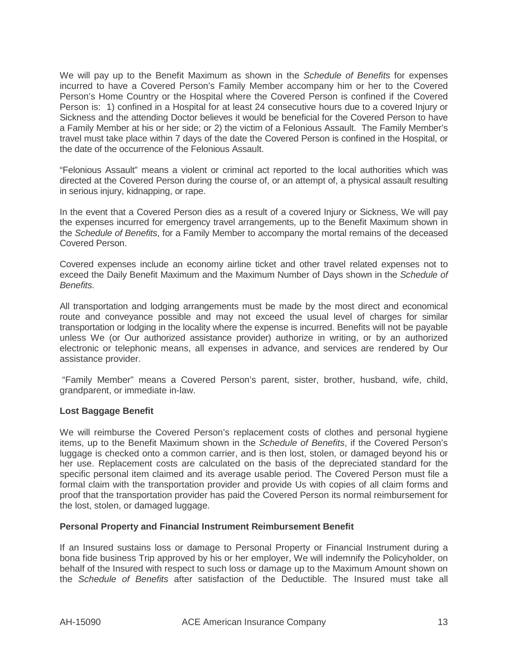We will pay up to the Benefit Maximum as shown in the Schedule of Benefits for expenses incurred to have a Covered Person's Family Member accompany him or her to the Covered Person's Home Country or the Hospital where the Covered Person is confined if the Covered Person is: 1) confined in a Hospital for at least 24 consecutive hours due to a covered Injury or Sickness and the attending Doctor believes it would be beneficial for the Covered Person to have a Family Member at his or her side; or 2) the victim of a Felonious Assault. The Family Member's travel must take place within 7 days of the date the Covered Person is confined in the Hospital, or the date of the occurrence of the Felonious Assault.

"Felonious Assault" means a violent or criminal act reported to the local authorities which was directed at the Covered Person during the course of, or an attempt of, a physical assault resulting in serious injury, kidnapping, or rape.

In the event that a Covered Person dies as a result of a covered Injury or Sickness, We will pay the expenses incurred for emergency travel arrangements, up to the Benefit Maximum shown in the Schedule of Benefits, for a Family Member to accompany the mortal remains of the deceased Covered Person.

Covered expenses include an economy airline ticket and other travel related expenses not to exceed the Daily Benefit Maximum and the Maximum Number of Days shown in the Schedule of Benefits.

All transportation and lodging arrangements must be made by the most direct and economical route and conveyance possible and may not exceed the usual level of charges for similar transportation or lodging in the locality where the expense is incurred. Benefits will not be payable unless We (or Our authorized assistance provider) authorize in writing, or by an authorized electronic or telephonic means, all expenses in advance, and services are rendered by Our assistance provider.

"Family Member" means a Covered Person's parent, sister, brother, husband, wife, child, grandparent, or immediate in-law.

## **Lost Baggage Benefit**

We will reimburse the Covered Person's replacement costs of clothes and personal hygiene items, up to the Benefit Maximum shown in the Schedule of Benefits, if the Covered Person's luggage is checked onto a common carrier, and is then lost, stolen, or damaged beyond his or her use. Replacement costs are calculated on the basis of the depreciated standard for the specific personal item claimed and its average usable period. The Covered Person must file a formal claim with the transportation provider and provide Us with copies of all claim forms and proof that the transportation provider has paid the Covered Person its normal reimbursement for the lost, stolen, or damaged luggage.

#### **Personal Property and Financial Instrument Reimbursement Benefit**

If an Insured sustains loss or damage to Personal Property or Financial Instrument during a bona fide business Trip approved by his or her employer, We will indemnify the Policyholder, on behalf of the Insured with respect to such loss or damage up to the Maximum Amount shown on the Schedule of Benefits after satisfaction of the Deductible. The Insured must take all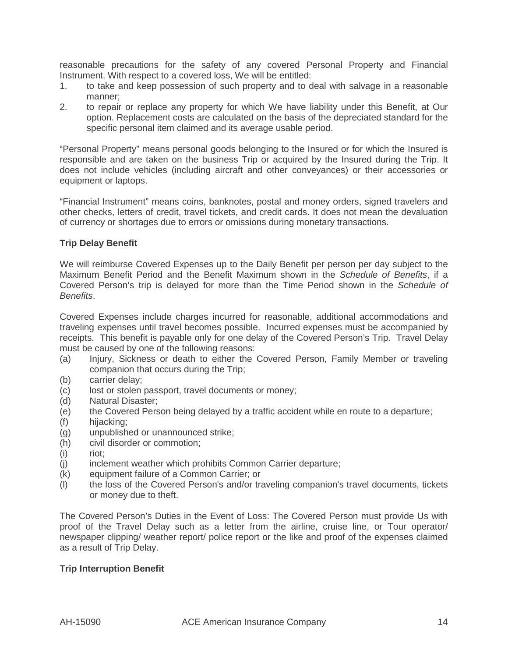reasonable precautions for the safety of any covered Personal Property and Financial Instrument. With respect to a covered loss, We will be entitled:

- 1. to take and keep possession of such property and to deal with salvage in a reasonable manner;
- 2. to repair or replace any property for which We have liability under this Benefit, at Our option. Replacement costs are calculated on the basis of the depreciated standard for the specific personal item claimed and its average usable period.

"Personal Property" means personal goods belonging to the Insured or for which the Insured is responsible and are taken on the business Trip or acquired by the Insured during the Trip. It does not include vehicles (including aircraft and other conveyances) or their accessories or equipment or laptops.

"Financial Instrument" means coins, banknotes, postal and money orders, signed travelers and other checks, letters of credit, travel tickets, and credit cards. It does not mean the devaluation of currency or shortages due to errors or omissions during monetary transactions.

# **Trip Delay Benefit**

We will reimburse Covered Expenses up to the Daily Benefit per person per day subject to the Maximum Benefit Period and the Benefit Maximum shown in the Schedule of Benefits, if a Covered Person's trip is delayed for more than the Time Period shown in the Schedule of Benefits.

Covered Expenses include charges incurred for reasonable, additional accommodations and traveling expenses until travel becomes possible. Incurred expenses must be accompanied by receipts. This benefit is payable only for one delay of the Covered Person's Trip. Travel Delay must be caused by one of the following reasons:

- (a) Injury, Sickness or death to either the Covered Person, Family Member or traveling companion that occurs during the Trip;
- (b) carrier delay;
- (c) lost or stolen passport, travel documents or money;
- (d) Natural Disaster;
- (e) the Covered Person being delayed by a traffic accident while en route to a departure;
- (f) hijacking;
- (g) unpublished or unannounced strike;
- (h) civil disorder or commotion;
- (i) riot;
- (j) inclement weather which prohibits Common Carrier departure;
- (k) equipment failure of a Common Carrier; or
- (l) the loss of the Covered Person's and/or traveling companion's travel documents, tickets or money due to theft.

The Covered Person's Duties in the Event of Loss: The Covered Person must provide Us with proof of the Travel Delay such as a letter from the airline, cruise line, or Tour operator/ newspaper clipping/ weather report/ police report or the like and proof of the expenses claimed as a result of Trip Delay.

## **Trip Interruption Benefit**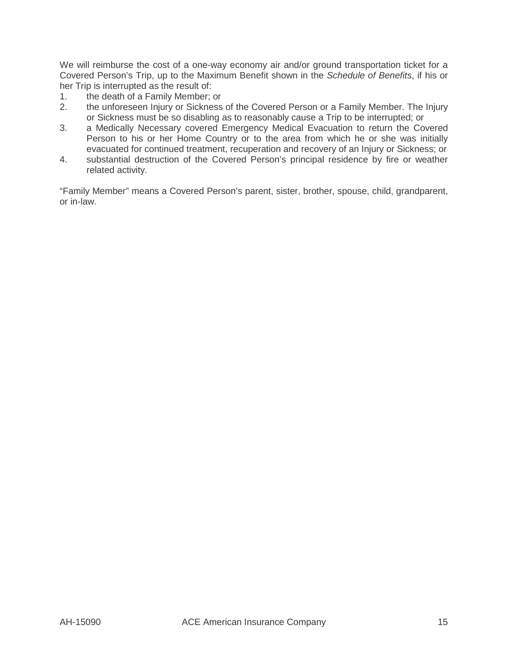We will reimburse the cost of a one-way economy air and/or ground transportation ticket for a Covered Person's Trip, up to the Maximum Benefit shown in the Schedule of Benefits, if his or her Trip is interrupted as the result of:

- 1. the death of a Family Member; or
- 2. the unforeseen Injury or Sickness of the Covered Person or a Family Member. The Injury or Sickness must be so disabling as to reasonably cause a Trip to be interrupted; or
- 3. a Medically Necessary covered Emergency Medical Evacuation to return the Covered Person to his or her Home Country or to the area from which he or she was initially evacuated for continued treatment, recuperation and recovery of an Injury or Sickness; or
- 4. substantial destruction of the Covered Person's principal residence by fire or weather related activity.

"Family Member" means a Covered Person's parent, sister, brother, spouse, child, grandparent, or in-law.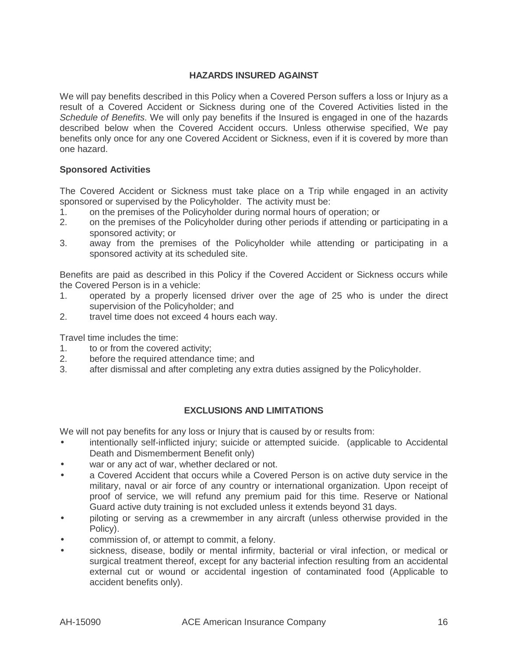# **HAZARDS INSURED AGAINST**

We will pay benefits described in this Policy when a Covered Person suffers a loss or Injury as a result of a Covered Accident or Sickness during one of the Covered Activities listed in the Schedule of Benefits. We will only pay benefits if the Insured is engaged in one of the hazards described below when the Covered Accident occurs. Unless otherwise specified, We pay benefits only once for any one Covered Accident or Sickness, even if it is covered by more than one hazard.

## **Sponsored Activities**

The Covered Accident or Sickness must take place on a Trip while engaged in an activity sponsored or supervised by the Policyholder. The activity must be:

- 1. on the premises of the Policyholder during normal hours of operation; or
- 2. on the premises of the Policyholder during other periods if attending or participating in a sponsored activity; or
- 3. away from the premises of the Policyholder while attending or participating in a sponsored activity at its scheduled site.

Benefits are paid as described in this Policy if the Covered Accident or Sickness occurs while the Covered Person is in a vehicle:

- 1. operated by a properly licensed driver over the age of 25 who is under the direct supervision of the Policyholder; and
- 2. travel time does not exceed 4 hours each way.

Travel time includes the time:

- 1. to or from the covered activity;
- 2. before the required attendance time; and
- 3. after dismissal and after completing any extra duties assigned by the Policyholder.

## **EXCLUSIONS AND LIMITATIONS**

We will not pay benefits for any loss or Injury that is caused by or results from:

- intentionally self-inflicted injury; suicide or attempted suicide. (applicable to Accidental Death and Dismemberment Benefit only)
- war or any act of war, whether declared or not.
- a Covered Accident that occurs while a Covered Person is on active duty service in the military, naval or air force of any country or international organization. Upon receipt of proof of service, we will refund any premium paid for this time. Reserve or National Guard active duty training is not excluded unless it extends beyond 31 days.
- piloting or serving as a crewmember in any aircraft (unless otherwise provided in the Policy).
- commission of, or attempt to commit, a felony.
- sickness, disease, bodily or mental infirmity, bacterial or viral infection, or medical or surgical treatment thereof, except for any bacterial infection resulting from an accidental external cut or wound or accidental ingestion of contaminated food (Applicable to accident benefits only).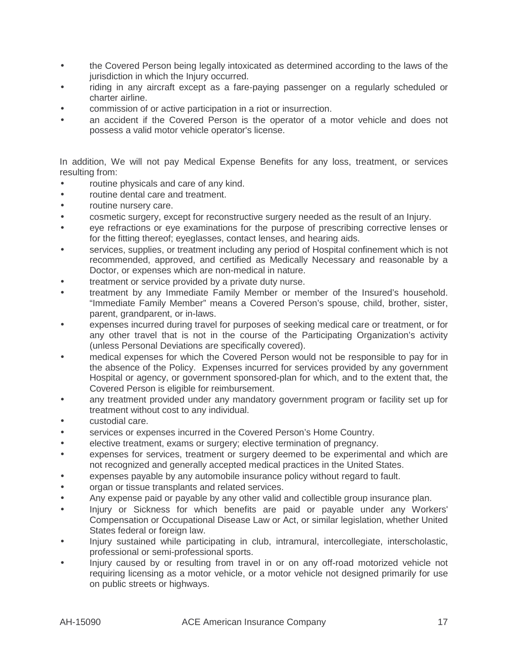- the Covered Person being legally intoxicated as determined according to the laws of the jurisdiction in which the Injury occurred.
- riding in any aircraft except as a fare-paying passenger on a regularly scheduled or charter airline.
- commission of or active participation in a riot or insurrection.
- an accident if the Covered Person is the operator of a motor vehicle and does not possess a valid motor vehicle operator's license.

In addition, We will not pay Medical Expense Benefits for any loss, treatment, or services resulting from:

- routine physicals and care of any kind.
- routine dental care and treatment.
- routine nursery care.
- cosmetic surgery, except for reconstructive surgery needed as the result of an Injury.
- eye refractions or eye examinations for the purpose of prescribing corrective lenses or for the fitting thereof; eyeglasses, contact lenses, and hearing aids.
- services, supplies, or treatment including any period of Hospital confinement which is not recommended, approved, and certified as Medically Necessary and reasonable by a Doctor, or expenses which are non-medical in nature.
- treatment or service provided by a private duty nurse.
- treatment by any Immediate Family Member or member of the Insured's household. "Immediate Family Member" means a Covered Person's spouse, child, brother, sister, parent, grandparent, or in-laws.
- expenses incurred during travel for purposes of seeking medical care or treatment, or for any other travel that is not in the course of the Participating Organization's activity (unless Personal Deviations are specifically covered).
- medical expenses for which the Covered Person would not be responsible to pay for in the absence of the Policy. Expenses incurred for services provided by any government Hospital or agency, or government sponsored-plan for which, and to the extent that, the Covered Person is eligible for reimbursement.
- any treatment provided under any mandatory government program or facility set up for treatment without cost to any individual.
- custodial care.
- services or expenses incurred in the Covered Person's Home Country.
- elective treatment, exams or surgery; elective termination of pregnancy.
- expenses for services, treatment or surgery deemed to be experimental and which are not recognized and generally accepted medical practices in the United States.
- expenses payable by any automobile insurance policy without regard to fault.
- organ or tissue transplants and related services.
- Any expense paid or payable by any other valid and collectible group insurance plan.
- Injury or Sickness for which benefits are paid or payable under any Workers' Compensation or Occupational Disease Law or Act, or similar legislation, whether United States federal or foreign law.
- Injury sustained while participating in club, intramural, intercollegiate, interscholastic, professional or semi-professional sports.
- Injury caused by or resulting from travel in or on any off-road motorized vehicle not requiring licensing as a motor vehicle, or a motor vehicle not designed primarily for use on public streets or highways.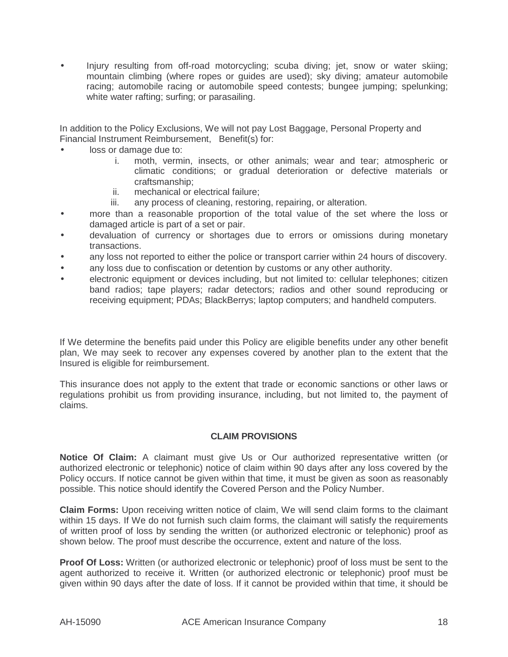• Injury resulting from off-road motorcycling; scuba diving; jet, snow or water skiing; mountain climbing (where ropes or guides are used); sky diving; amateur automobile racing; automobile racing or automobile speed contests; bungee jumping; spelunking; white water rafting; surfing; or parasailing.

In addition to the Policy Exclusions, We will not pay Lost Baggage, Personal Property and Financial Instrument Reimbursement, Benefit(s) for:

- loss or damage due to:
	- i. moth, vermin, insects, or other animals; wear and tear; atmospheric or climatic conditions; or gradual deterioration or defective materials or craftsmanship;
	- ii. mechanical or electrical failure;
	- iii. any process of cleaning, restoring, repairing, or alteration.
- more than a reasonable proportion of the total value of the set where the loss or damaged article is part of a set or pair.
- devaluation of currency or shortages due to errors or omissions during monetary transactions.
- any loss not reported to either the police or transport carrier within 24 hours of discovery.
- any loss due to confiscation or detention by customs or any other authority.
- electronic equipment or devices including, but not limited to: cellular telephones; citizen band radios; tape players; radar detectors; radios and other sound reproducing or receiving equipment; PDAs; BlackBerrys; laptop computers; and handheld computers.

If We determine the benefits paid under this Policy are eligible benefits under any other benefit plan, We may seek to recover any expenses covered by another plan to the extent that the Insured is eligible for reimbursement.

This insurance does not apply to the extent that trade or economic sanctions or other laws or regulations prohibit us from providing insurance, including, but not limited to, the payment of claims.

#### **CLAIM PROVISIONS**

**Notice Of Claim:** A claimant must give Us or Our authorized representative written (or authorized electronic or telephonic) notice of claim within 90 days after any loss covered by the Policy occurs. If notice cannot be given within that time, it must be given as soon as reasonably possible. This notice should identify the Covered Person and the Policy Number.

**Claim Forms:** Upon receiving written notice of claim, We will send claim forms to the claimant within 15 days. If We do not furnish such claim forms, the claimant will satisfy the requirements of written proof of loss by sending the written (or authorized electronic or telephonic) proof as shown below. The proof must describe the occurrence, extent and nature of the loss.

**Proof Of Loss:** Written (or authorized electronic or telephonic) proof of loss must be sent to the agent authorized to receive it. Written (or authorized electronic or telephonic) proof must be given within 90 days after the date of loss. If it cannot be provided within that time, it should be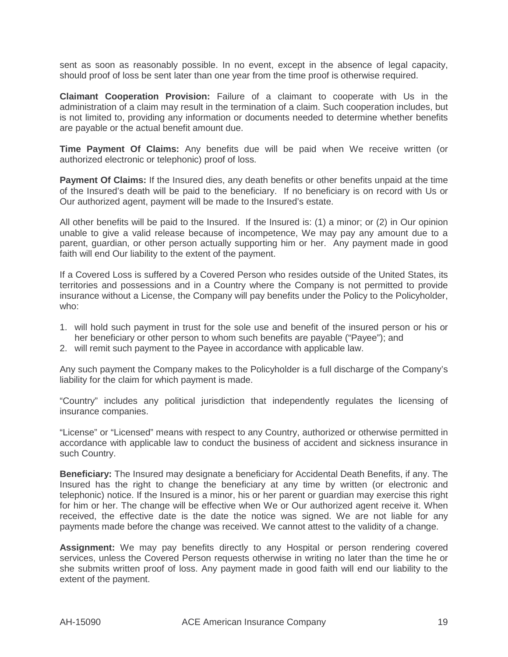sent as soon as reasonably possible. In no event, except in the absence of legal capacity, should proof of loss be sent later than one year from the time proof is otherwise required.

**Claimant Cooperation Provision:** Failure of a claimant to cooperate with Us in the administration of a claim may result in the termination of a claim. Such cooperation includes, but is not limited to, providing any information or documents needed to determine whether benefits are payable or the actual benefit amount due.

**Time Payment Of Claims:** Any benefits due will be paid when We receive written (or authorized electronic or telephonic) proof of loss.

**Payment Of Claims:** If the Insured dies, any death benefits or other benefits unpaid at the time of the Insured's death will be paid to the beneficiary. If no beneficiary is on record with Us or Our authorized agent, payment will be made to the Insured's estate.

All other benefits will be paid to the Insured. If the Insured is: (1) a minor; or (2) in Our opinion unable to give a valid release because of incompetence, We may pay any amount due to a parent, guardian, or other person actually supporting him or her. Any payment made in good faith will end Our liability to the extent of the payment.

If a Covered Loss is suffered by a Covered Person who resides outside of the United States, its territories and possessions and in a Country where the Company is not permitted to provide insurance without a License, the Company will pay benefits under the Policy to the Policyholder, who:

- 1. will hold such payment in trust for the sole use and benefit of the insured person or his or her beneficiary or other person to whom such benefits are payable ("Payee"); and
- 2. will remit such payment to the Payee in accordance with applicable law.

Any such payment the Company makes to the Policyholder is a full discharge of the Company's liability for the claim for which payment is made.

"Country" includes any political jurisdiction that independently regulates the licensing of insurance companies.

"License" or "Licensed" means with respect to any Country, authorized or otherwise permitted in accordance with applicable law to conduct the business of accident and sickness insurance in such Country.

**Beneficiary:** The Insured may designate a beneficiary for Accidental Death Benefits, if any. The Insured has the right to change the beneficiary at any time by written (or electronic and telephonic) notice. If the Insured is a minor, his or her parent or guardian may exercise this right for him or her. The change will be effective when We or Our authorized agent receive it. When received, the effective date is the date the notice was signed. We are not liable for any payments made before the change was received. We cannot attest to the validity of a change.

**Assignment:** We may pay benefits directly to any Hospital or person rendering covered services, unless the Covered Person requests otherwise in writing no later than the time he or she submits written proof of loss. Any payment made in good faith will end our liability to the extent of the payment.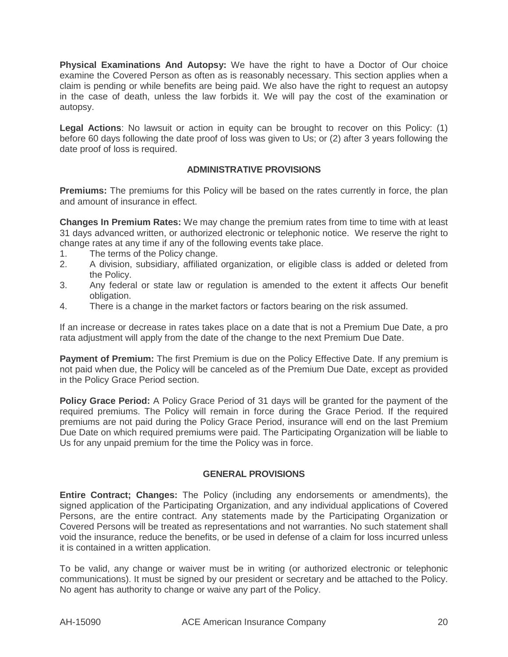**Physical Examinations And Autopsy:** We have the right to have a Doctor of Our choice examine the Covered Person as often as is reasonably necessary. This section applies when a claim is pending or while benefits are being paid. We also have the right to request an autopsy in the case of death, unless the law forbids it. We will pay the cost of the examination or autopsy.

**Legal Actions**: No lawsuit or action in equity can be brought to recover on this Policy: (1) before 60 days following the date proof of loss was given to Us; or (2) after 3 years following the date proof of loss is required.

## **ADMINISTRATIVE PROVISIONS**

**Premiums:** The premiums for this Policy will be based on the rates currently in force, the plan and amount of insurance in effect.

**Changes In Premium Rates:** We may change the premium rates from time to time with at least 31 days advanced written, or authorized electronic or telephonic notice. We reserve the right to change rates at any time if any of the following events take place.

- 1. The terms of the Policy change.
- 2. A division, subsidiary, affiliated organization, or eligible class is added or deleted from the Policy.
- 3. Any federal or state law or regulation is amended to the extent it affects Our benefit obligation.
- 4. There is a change in the market factors or factors bearing on the risk assumed.

If an increase or decrease in rates takes place on a date that is not a Premium Due Date, a pro rata adjustment will apply from the date of the change to the next Premium Due Date.

**Payment of Premium:** The first Premium is due on the Policy Effective Date. If any premium is not paid when due, the Policy will be canceled as of the Premium Due Date, except as provided in the Policy Grace Period section.

**Policy Grace Period:** A Policy Grace Period of 31 days will be granted for the payment of the required premiums. The Policy will remain in force during the Grace Period. If the required premiums are not paid during the Policy Grace Period, insurance will end on the last Premium Due Date on which required premiums were paid. The Participating Organization will be liable to Us for any unpaid premium for the time the Policy was in force.

## **GENERAL PROVISIONS**

**Entire Contract; Changes:** The Policy (including any endorsements or amendments), the signed application of the Participating Organization, and any individual applications of Covered Persons, are the entire contract. Any statements made by the Participating Organization or Covered Persons will be treated as representations and not warranties. No such statement shall void the insurance, reduce the benefits, or be used in defense of a claim for loss incurred unless it is contained in a written application.

To be valid, any change or waiver must be in writing (or authorized electronic or telephonic communications). It must be signed by our president or secretary and be attached to the Policy. No agent has authority to change or waive any part of the Policy.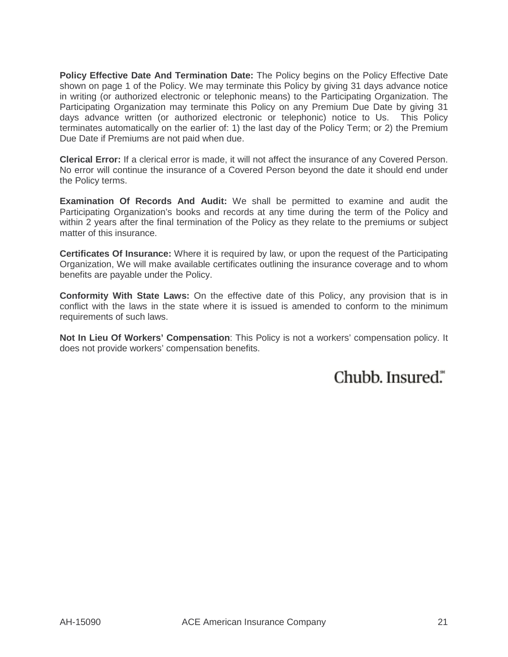**Policy Effective Date And Termination Date:** The Policy begins on the Policy Effective Date shown on page 1 of the Policy. We may terminate this Policy by giving 31 days advance notice in writing (or authorized electronic or telephonic means) to the Participating Organization. The Participating Organization may terminate this Policy on any Premium Due Date by giving 31 days advance written (or authorized electronic or telephonic) notice to Us. This Policy terminates automatically on the earlier of: 1) the last day of the Policy Term; or 2) the Premium Due Date if Premiums are not paid when due.

**Clerical Error:** If a clerical error is made, it will not affect the insurance of any Covered Person. No error will continue the insurance of a Covered Person beyond the date it should end under the Policy terms.

**Examination Of Records And Audit:** We shall be permitted to examine and audit the Participating Organization's books and records at any time during the term of the Policy and within 2 years after the final termination of the Policy as they relate to the premiums or subject matter of this insurance.

**Certificates Of Insurance:** Where it is required by law, or upon the request of the Participating Organization, We will make available certificates outlining the insurance coverage and to whom benefits are payable under the Policy.

**Conformity With State Laws:** On the effective date of this Policy, any provision that is in conflict with the laws in the state where it is issued is amended to conform to the minimum requirements of such laws.

**Not In Lieu Of Workers' Compensation**: This Policy is not a workers' compensation policy. It does not provide workers' compensation benefits.

Chubb. Insured."